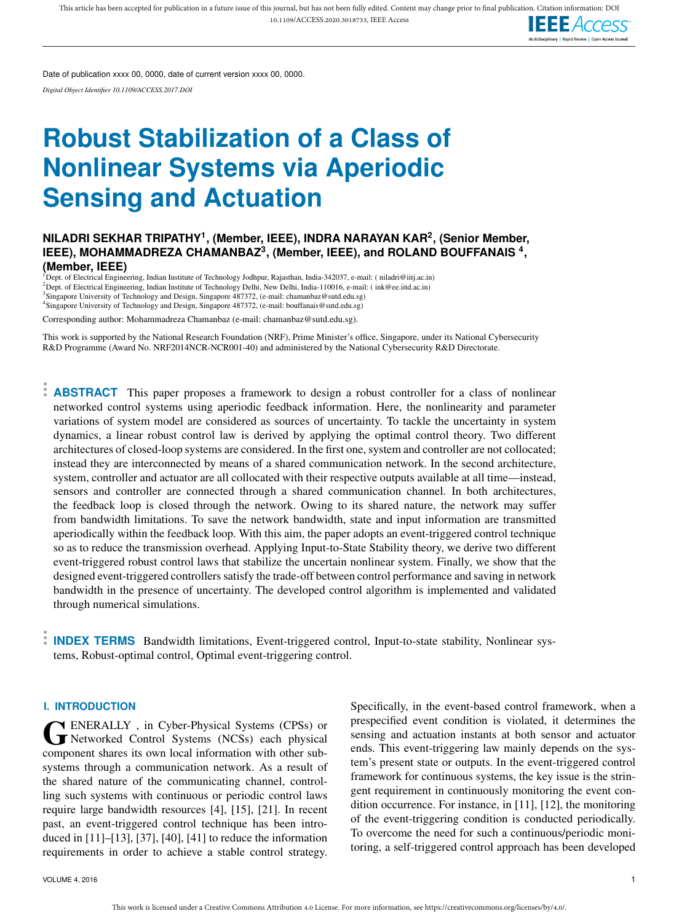

Date of publication xxxx 00, 0000, date of current version xxxx 00, 0000.

*Digital Object Identifier 10.1109/ACCESS.2017.DOI*

# **Robust Stabilization of a Class of Nonlinear Systems via Aperiodic Sensing and Actuation**

# **NILADRI SEKHAR TRIPATHY<sup>1</sup> , (Member, IEEE), INDRA NARAYAN KAR<sup>2</sup> , (Senior Member, IEEE), MOHAMMADREZA CHAMANBAZ<sup>3</sup> , (Member, IEEE), and ROLAND BOUFFANAIS <sup>4</sup> , (Member, IEEE)**

<sup>1</sup>Dept. of Electrical Engineering, Indian Institute of Technology Jodhpur, Rajasthan, India-342037, e-mail: ( niladri@iitj.ac.in) <sup>2</sup>Dept. of Electrical Engineering, Indian Institute of Technology Delhi, New Delhi, India-110016, e-mail: ( ink@ee.iitd.ac.in) <sup>3</sup>Singapore University of Technology and Design, Singapore 487372, (e-mail: chamanbaz@sutd.edu.sg) <sup>4</sup>Singapore University of Technology and Design, Singapore 487372, (e-mail: bouffanais@sutd.edu.sg)

Corresponding author: Mohammadreza Chamanbaz (e-mail: chamanbaz@sutd.edu.sg).

This work is supported by the National Research Foundation (NRF), Prime Minister's office, Singapore, under its National Cybersecurity R&D Programme (Award No. NRF2014NCR-NCR001-40) and administered by the National Cybersecurity R&D Directorate.

**ABSTRACT** This paper proposes a framework to design a robust controller for a class of nonlinear networked control systems using aperiodic feedback information. Here, the nonlinearity and parameter variations of system model are considered as sources of uncertainty. To tackle the uncertainty in system dynamics, a linear robust control law is derived by applying the optimal control theory. Two different architectures of closed-loop systems are considered. In the first one, system and controller are not collocated; instead they are interconnected by means of a shared communication network. In the second architecture, system, controller and actuator are all collocated with their respective outputs available at all time—instead, sensors and controller are connected through a shared communication channel. In both architectures, the feedback loop is closed through the network. Owing to its shared nature, the network may suffer from bandwidth limitations. To save the network bandwidth, state and input information are transmitted aperiodically within the feedback loop. With this aim, the paper adopts an event-triggered control technique so as to reduce the transmission overhead. Applying Input-to-State Stability theory, we derive two different event-triggered robust control laws that stabilize the uncertain nonlinear system. Finally, we show that the designed event-triggered controllers satisfy the trade-off between control performance and saving in network bandwidth in the presence of uncertainty. The developed control algorithm is implemented and validated through numerical simulations.

**INDEX TERMS** Bandwidth limitations, Event-triggered control, Input-to-state stability, Nonlinear systems, Robust-optimal control, Optimal event-triggering control.

## **I. INTRODUCTION**

GENERALLY, in Cyber-Physical Systems (CPSs) or<br>Networked Control Systems (NCSs) each physical<br>intervalsed in the control of the control ENERALLY , in Cyber-Physical Systems (CPSs) or component shares its own local information with other subsystems through a communication network. As a result of the shared nature of the communicating channel, controlling such systems with continuous or periodic control laws require large bandwidth resources [4], [15], [21]. In recent past, an event-triggered control technique has been introduced in [11]–[13], [37], [40], [41] to reduce the information requirements in order to achieve a stable control strategy.

Specifically, in the event-based control framework, when a prespecified event condition is violated, it determines the sensing and actuation instants at both sensor and actuator ends. This event-triggering law mainly depends on the system's present state or outputs. In the event-triggered control framework for continuous systems, the key issue is the stringent requirement in continuously monitoring the event condition occurrence. For instance, in [11], [12], the monitoring of the event-triggering condition is conducted periodically. To overcome the need for such a continuous/periodic monitoring, a self-triggered control approach has been developed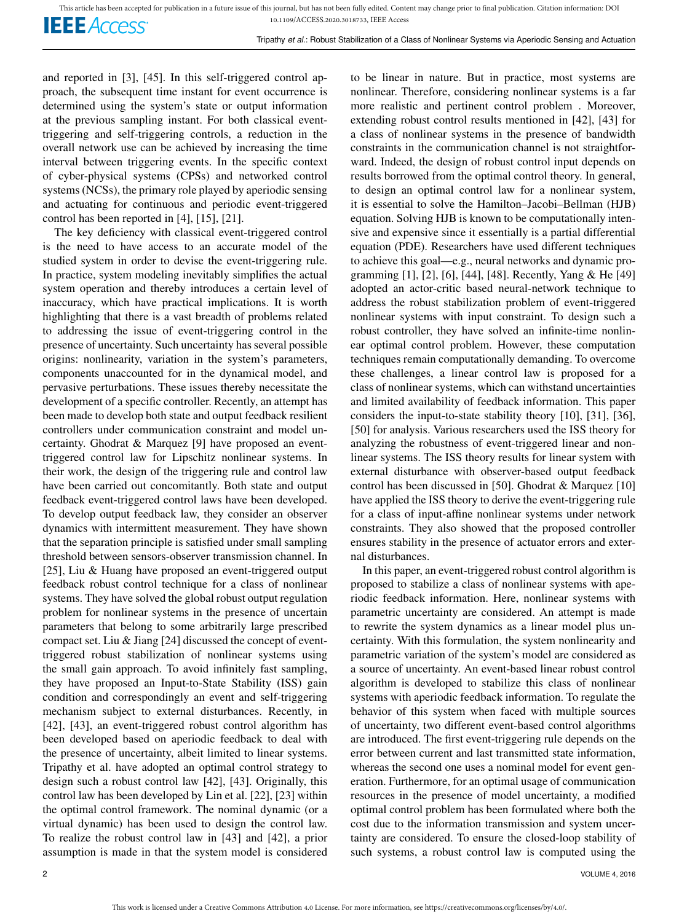**IEEE** Access<sup>®</sup>

and reported in [3], [45]. In this self-triggered control approach, the subsequent time instant for event occurrence is determined using the system's state or output information at the previous sampling instant. For both classical eventtriggering and self-triggering controls, a reduction in the overall network use can be achieved by increasing the time interval between triggering events. In the specific context of cyber-physical systems (CPSs) and networked control systems (NCSs), the primary role played by aperiodic sensing and actuating for continuous and periodic event-triggered control has been reported in [4], [15], [21].

The key deficiency with classical event-triggered control is the need to have access to an accurate model of the studied system in order to devise the event-triggering rule. In practice, system modeling inevitably simplifies the actual system operation and thereby introduces a certain level of inaccuracy, which have practical implications. It is worth highlighting that there is a vast breadth of problems related to addressing the issue of event-triggering control in the presence of uncertainty. Such uncertainty has several possible origins: nonlinearity, variation in the system's parameters, components unaccounted for in the dynamical model, and pervasive perturbations. These issues thereby necessitate the development of a specific controller. Recently, an attempt has been made to develop both state and output feedback resilient controllers under communication constraint and model uncertainty. Ghodrat & Marquez [9] have proposed an eventtriggered control law for Lipschitz nonlinear systems. In their work, the design of the triggering rule and control law have been carried out concomitantly. Both state and output feedback event-triggered control laws have been developed. To develop output feedback law, they consider an observer dynamics with intermittent measurement. They have shown that the separation principle is satisfied under small sampling threshold between sensors-observer transmission channel. In [25], Liu & Huang have proposed an event-triggered output feedback robust control technique for a class of nonlinear systems. They have solved the global robust output regulation problem for nonlinear systems in the presence of uncertain parameters that belong to some arbitrarily large prescribed compact set. Liu & Jiang [24] discussed the concept of eventtriggered robust stabilization of nonlinear systems using the small gain approach. To avoid infinitely fast sampling, they have proposed an Input-to-State Stability (ISS) gain condition and correspondingly an event and self-triggering mechanism subject to external disturbances. Recently, in [42], [43], an event-triggered robust control algorithm has been developed based on aperiodic feedback to deal with the presence of uncertainty, albeit limited to linear systems. Tripathy et al. have adopted an optimal control strategy to design such a robust control law [42], [43]. Originally, this control law has been developed by Lin et al. [22], [23] within the optimal control framework. The nominal dynamic (or a virtual dynamic) has been used to design the control law. To realize the robust control law in [43] and [42], a prior assumption is made in that the system model is considered to be linear in nature. But in practice, most systems are nonlinear. Therefore, considering nonlinear systems is a far more realistic and pertinent control problem . Moreover, extending robust control results mentioned in [42], [43] for a class of nonlinear systems in the presence of bandwidth constraints in the communication channel is not straightforward. Indeed, the design of robust control input depends on results borrowed from the optimal control theory. In general, to design an optimal control law for a nonlinear system, it is essential to solve the Hamilton–Jacobi–Bellman (HJB) equation. Solving HJB is known to be computationally intensive and expensive since it essentially is a partial differential equation (PDE). Researchers have used different techniques to achieve this goal—e.g., neural networks and dynamic programming [1], [2], [6], [44], [48]. Recently, Yang & He [49] adopted an actor-critic based neural-network technique to address the robust stabilization problem of event-triggered nonlinear systems with input constraint. To design such a robust controller, they have solved an infinite-time nonlinear optimal control problem. However, these computation techniques remain computationally demanding. To overcome these challenges, a linear control law is proposed for a class of nonlinear systems, which can withstand uncertainties and limited availability of feedback information. This paper considers the input-to-state stability theory [10], [31], [36], [50] for analysis. Various researchers used the ISS theory for analyzing the robustness of event-triggered linear and nonlinear systems. The ISS theory results for linear system with external disturbance with observer-based output feedback control has been discussed in [50]. Ghodrat & Marquez [10] have applied the ISS theory to derive the event-triggering rule for a class of input-affine nonlinear systems under network constraints. They also showed that the proposed controller ensures stability in the presence of actuator errors and external disturbances.

In this paper, an event-triggered robust control algorithm is proposed to stabilize a class of nonlinear systems with aperiodic feedback information. Here, nonlinear systems with parametric uncertainty are considered. An attempt is made to rewrite the system dynamics as a linear model plus uncertainty. With this formulation, the system nonlinearity and parametric variation of the system's model are considered as a source of uncertainty. An event-based linear robust control algorithm is developed to stabilize this class of nonlinear systems with aperiodic feedback information. To regulate the behavior of this system when faced with multiple sources of uncertainty, two different event-based control algorithms are introduced. The first event-triggering rule depends on the error between current and last transmitted state information, whereas the second one uses a nominal model for event generation. Furthermore, for an optimal usage of communication resources in the presence of model uncertainty, a modified optimal control problem has been formulated where both the cost due to the information transmission and system uncertainty are considered. To ensure the closed-loop stability of such systems, a robust control law is computed using the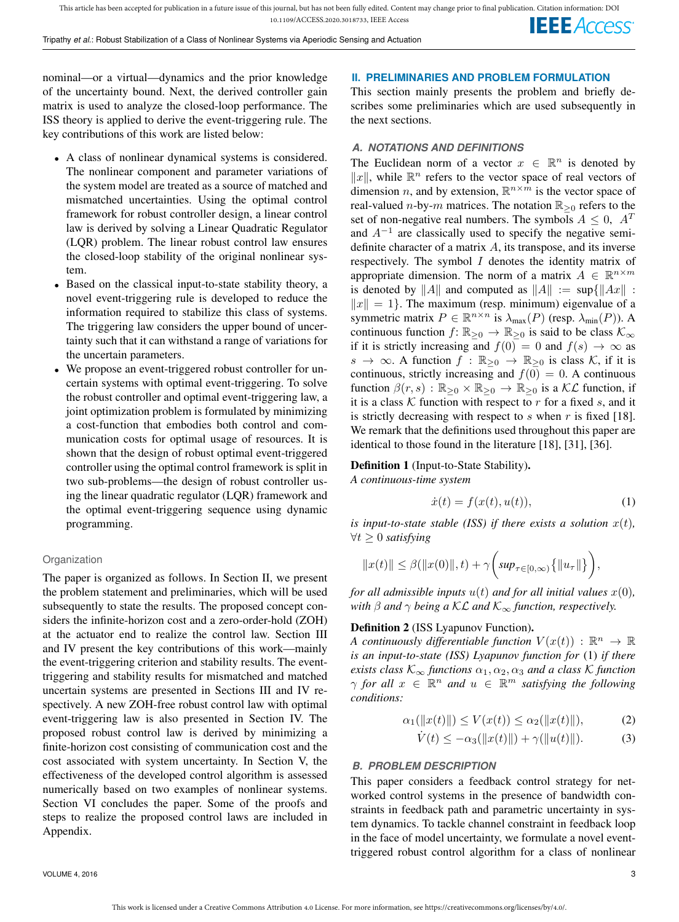nominal—or a virtual—dynamics and the prior knowledge of the uncertainty bound. Next, the derived controller gain matrix is used to analyze the closed-loop performance. The ISS theory is applied to derive the event-triggering rule. The key contributions of this work are listed below:

- A class of nonlinear dynamical systems is considered. The nonlinear component and parameter variations of the system model are treated as a source of matched and mismatched uncertainties. Using the optimal control framework for robust controller design, a linear control law is derived by solving a Linear Quadratic Regulator (LQR) problem. The linear robust control law ensures the closed-loop stability of the original nonlinear system.
- Based on the classical input-to-state stability theory, a novel event-triggering rule is developed to reduce the information required to stabilize this class of systems. The triggering law considers the upper bound of uncertainty such that it can withstand a range of variations for the uncertain parameters.
- We propose an event-triggered robust controller for uncertain systems with optimal event-triggering. To solve the robust controller and optimal event-triggering law, a joint optimization problem is formulated by minimizing a cost-function that embodies both control and communication costs for optimal usage of resources. It is shown that the design of robust optimal event-triggered controller using the optimal control framework is split in two sub-problems—the design of robust controller using the linear quadratic regulator (LQR) framework and the optimal event-triggering sequence using dynamic programming.

#### Organization

The paper is organized as follows. In Section II, we present the problem statement and preliminaries, which will be used subsequently to state the results. The proposed concept considers the infinite-horizon cost and a zero-order-hold (ZOH) at the actuator end to realize the control law. Section III and IV present the key contributions of this work—mainly the event-triggering criterion and stability results. The eventtriggering and stability results for mismatched and matched uncertain systems are presented in Sections III and IV respectively. A new ZOH-free robust control law with optimal event-triggering law is also presented in Section IV. The proposed robust control law is derived by minimizing a finite-horizon cost consisting of communication cost and the cost associated with system uncertainty. In Section V, the effectiveness of the developed control algorithm is assessed numerically based on two examples of nonlinear systems. Section VI concludes the paper. Some of the proofs and steps to realize the proposed control laws are included in Appendix.

## **II. PRELIMINARIES AND PROBLEM FORMULATION**

This section mainly presents the problem and briefly describes some preliminaries which are used subsequently in the next sections.

## *A. NOTATIONS AND DEFINITIONS*

The Euclidean norm of a vector  $x \in \mathbb{R}^n$  is denoted by  $||x||$ , while  $\mathbb{R}^n$  refers to the vector space of real vectors of dimension *n*, and by extension,  $\mathbb{R}^{n \times m}$  is the vector space of real-valued *n*-by-*m* matrices. The notation  $\mathbb{R}_{\geq 0}$  refers to the set of non-negative real numbers. The symbols  $A \leq 0$ ,  $A<sup>T</sup>$ and  $A^{-1}$  are classically used to specify the negative semidefinite character of a matrix  $A$ , its transpose, and its inverse respectively. The symbol  $I$  denotes the identity matrix of appropriate dimension. The norm of a matrix  $A \in \mathbb{R}^{n \times m}$ is denoted by ||A|| and computed as  $||A|| := \sup\{||Ax||$ :  $||x|| = 1$ . The maximum (resp. minimum) eigenvalue of a symmetric matrix  $P \in \mathbb{R}^{n \times n}$  is  $\lambda_{\max}(P)$  (resp.  $\lambda_{\min}(P)$ ). A continuous function  $f: \mathbb{R}_{\geq 0} \to \mathbb{R}_{\geq 0}$  is said to be class  $\mathcal{K}_{\infty}$ if it is strictly increasing and  $f(0) = 0$  and  $f(s) \rightarrow \infty$  as  $s \to \infty$ . A function  $f : \mathbb{R}_{\geq 0} \to \mathbb{R}_{\geq 0}$  is class K, if it is continuous, strictly increasing and  $f(0) = 0$ . A continuous function  $\beta(r, s) : \mathbb{R}_{\geq 0} \times \mathbb{R}_{\geq 0} \to \mathbb{R}_{\geq 0}$  is a KL function, if it is a class  $K$  function with respect to  $r$  for a fixed  $s$ , and it is strictly decreasing with respect to  $s$  when  $r$  is fixed [18]. We remark that the definitions used throughout this paper are identical to those found in the literature [18], [31], [36].

## Definition 1 (Input-to-State Stability). *A continuous-time system*

$$
\dot{x}(t) = f(x(t), u(t)),\tag{1}
$$

*is input-to-state stable (ISS) if there exists a solution*  $x(t)$ *,* ∀t ≥ 0 *satisfying*

$$
||x(t)|| \le \beta(||x(0)||, t) + \gamma \bigg(\sup_{\tau \in [0,\infty)} \{||u_{\tau}||\}\bigg),
$$

*for all admissible inputs*  $u(t)$  *and for all initial values*  $x(0)$ *, with*  $\beta$  *and*  $\gamma$  *being a*  $\mathcal{KL}$  *and*  $\mathcal{K}_{\infty}$  *function, respectively.* 

## Definition 2 (ISS Lyapunov Function).

*A continuously differentiable function*  $V(x(t))$  :  $\mathbb{R}^n \to \mathbb{R}$ *is an input-to-state (ISS) Lyapunov function for* (1) *if there exists class*  $K_{\infty}$  *functions*  $\alpha_1, \alpha_2, \alpha_3$  *and a class* K *function*  $\gamma$  for all  $x \in \mathbb{R}^n$  and  $u \in \mathbb{R}^m$  satisfying the following *conditions:*

$$
\alpha_1(\|x(t)\|) \le V(x(t)) \le \alpha_2(\|x(t)\|), \tag{2}
$$

$$
\dot{V}(t) \le -\alpha_3(\|x(t)\|) + \gamma(\|u(t)\|). \tag{3}
$$

## *B. PROBLEM DESCRIPTION*

This paper considers a feedback control strategy for networked control systems in the presence of bandwidth constraints in feedback path and parametric uncertainty in system dynamics. To tackle channel constraint in feedback loop in the face of model uncertainty, we formulate a novel eventtriggered robust control algorithm for a class of nonlinear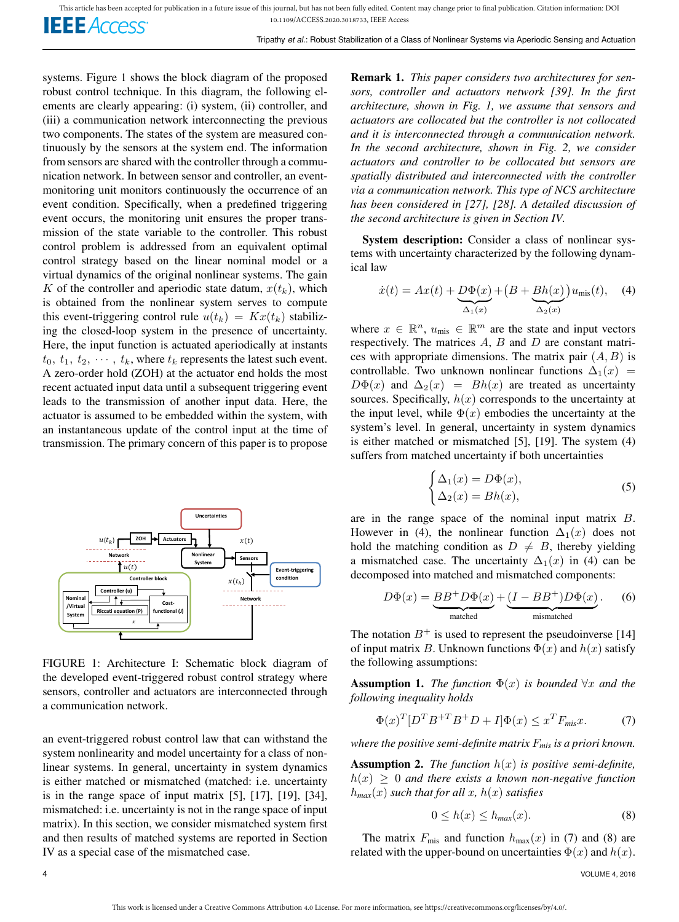systems. Figure 1 shows the block diagram of the proposed robust control technique. In this diagram, the following elements are clearly appearing: (i) system, (ii) controller, and (iii) a communication network interconnecting the previous two components. The states of the system are measured continuously by the sensors at the system end. The information from sensors are shared with the controller through a communication network. In between sensor and controller, an eventmonitoring unit monitors continuously the occurrence of an event condition. Specifically, when a predefined triggering event occurs, the monitoring unit ensures the proper transmission of the state variable to the controller. This robust control problem is addressed from an equivalent optimal control strategy based on the linear nominal model or a virtual dynamics of the original nonlinear systems. The gain K of the controller and aperiodic state datum,  $x(t_k)$ , which is obtained from the nonlinear system serves to compute this event-triggering control rule  $u(t_k) = Kx(t_k)$  stabilizing the closed-loop system in the presence of uncertainty. Here, the input function is actuated aperiodically at instants  $t_0, t_1, t_2, \cdots, t_k$ , where  $t_k$  represents the latest such event. A zero-order hold (ZOH) at the actuator end holds the most recent actuated input data until a subsequent triggering event leads to the transmission of another input data. Here, the actuator is assumed to be embedded within the system, with an instantaneous update of the control input at the time of transmission. The primary concern of this paper is to propose



FIGURE 1: Architecture I: Schematic block diagram of the developed event-triggered robust control strategy where sensors, controller and actuators are interconnected through a communication network.

an event-triggered robust control law that can withstand the system nonlinearity and model uncertainty for a class of nonlinear systems. In general, uncertainty in system dynamics is either matched or mismatched (matched: i.e. uncertainty is in the range space of input matrix [5], [17], [19], [34], mismatched: i.e. uncertainty is not in the range space of input matrix). In this section, we consider mismatched system first and then results of matched systems are reported in Section IV as a special case of the mismatched case.

Remark 1. *This paper considers two architectures for sensors, controller and actuators network [39]. In the first architecture, shown in Fig. 1, we assume that sensors and actuators are collocated but the controller is not collocated and it is interconnected through a communication network. In the second architecture, shown in Fig. 2, we consider actuators and controller to be collocated but sensors are spatially distributed and interconnected with the controller via a communication network. This type of NCS architecture has been considered in [27], [28]. A detailed discussion of the second architecture is given in Section IV.*

System description: Consider a class of nonlinear systems with uncertainty characterized by the following dynamical law

$$
\dot{x}(t) = Ax(t) + \underbrace{D\Phi(x)}_{\Delta_1(x)} + \left(B + \underbrace{Bh(x)}_{\Delta_2(x)}\right)u_{\text{mis}}(t), \quad (4)
$$

where  $x \in \mathbb{R}^n$ ,  $u_{\text{mis}} \in \mathbb{R}^m$  are the state and input vectors respectively. The matrices  $A$ ,  $B$  and  $D$  are constant matrices with appropriate dimensions. The matrix pair  $(A, B)$  is controllable. Two unknown nonlinear functions  $\Delta_1(x)$  =  $D\Phi(x)$  and  $\Delta_2(x) = Bh(x)$  are treated as uncertainty sources. Specifically,  $h(x)$  corresponds to the uncertainty at the input level, while  $\Phi(x)$  embodies the uncertainty at the system's level. In general, uncertainty in system dynamics is either matched or mismatched [5], [19]. The system (4) suffers from matched uncertainty if both uncertainties

$$
\begin{cases} \Delta_1(x) = D\Phi(x), \\ \Delta_2(x) = Bh(x), \end{cases}
$$
 (5)

are in the range space of the nominal input matrix B. However in (4), the nonlinear function  $\Delta_1(x)$  does not hold the matching condition as  $D \neq B$ , thereby yielding a mismatched case. The uncertainty  $\Delta_1(x)$  in (4) can be decomposed into matched and mismatched components:

$$
D\Phi(x) = \underbrace{BB^+D\Phi(x)}_{\text{matched}} + \underbrace{(I - BB^+)D\Phi(x)}_{\text{mismatch}}.
$$
 (6)

The notation  $B^+$  is used to represent the pseudoinverse [14] of input matrix B. Unknown functions  $\Phi(x)$  and  $h(x)$  satisfy the following assumptions:

**Assumption 1.** *The function*  $\Phi(x)$  *is bounded*  $\forall x$  *and the following inequality holds*

$$
\Phi(x)^T [D^T B^{+T} B^+ D + I] \Phi(x) \le x^T F_{\text{mix}} x. \tag{7}
$$

*where the positive semi-definite matrix* F*mis is a priori known.*

**Assumption 2.** *The function*  $h(x)$  *is positive semi-definite,*  $h(x) \geq 0$  *and there exists a known non-negative function*  $h_{max}(x)$  *such that for all x,*  $h(x)$  *satisfies* 

$$
0 \le h(x) \le h_{\text{max}}(x). \tag{8}
$$

The matrix  $F_{\text{mis}}$  and function  $h_{\text{max}}(x)$  in (7) and (8) are related with the upper-bound on uncertainties  $\Phi(x)$  and  $h(x)$ .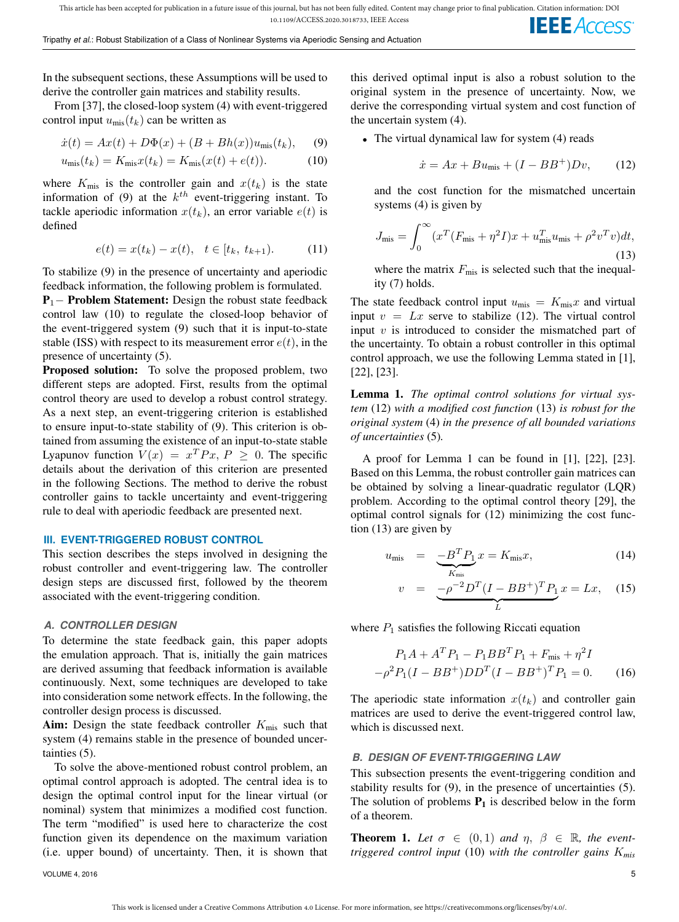In the subsequent sections, these Assumptions will be used to derive the controller gain matrices and stability results.

From [37], the closed-loop system (4) with event-triggered control input  $u_{\text{mis}}(t_k)$  can be written as

$$
\dot{x}(t) = Ax(t) + D\Phi(x) + (B + Bh(x))u_{\text{mis}}(t_k), \quad (9)
$$

$$
u_{\rm mis}(t_k) = K_{\rm mis} x(t_k) = K_{\rm mis}(x(t) + e(t)). \tag{10}
$$

where  $K_{\text{mis}}$  is the controller gain and  $x(t_k)$  is the state information of (9) at the  $k^{th}$  event-triggering instant. To tackle aperiodic information  $x(t_k)$ , an error variable  $e(t)$  is defined

$$
e(t) = x(t_k) - x(t), \quad t \in [t_k, t_{k+1}). \tag{11}
$$

To stabilize (9) in the presence of uncertainty and aperiodic feedback information, the following problem is formulated.

P<sub>1</sub>− Problem Statement: Design the robust state feedback control law (10) to regulate the closed-loop behavior of the event-triggered system (9) such that it is input-to-state stable (ISS) with respect to its measurement error  $e(t)$ , in the presence of uncertainty (5).

Proposed solution: To solve the proposed problem, two different steps are adopted. First, results from the optimal control theory are used to develop a robust control strategy. As a next step, an event-triggering criterion is established to ensure input-to-state stability of (9). This criterion is obtained from assuming the existence of an input-to-state stable Lyapunov function  $V(x) = x^T P x$ ,  $P \ge 0$ . The specific details about the derivation of this criterion are presented in the following Sections. The method to derive the robust controller gains to tackle uncertainty and event-triggering rule to deal with aperiodic feedback are presented next.

## **III. EVENT-TRIGGERED ROBUST CONTROL**

This section describes the steps involved in designing the robust controller and event-triggering law. The controller design steps are discussed first, followed by the theorem associated with the event-triggering condition.

## *A. CONTROLLER DESIGN*

To determine the state feedback gain, this paper adopts the emulation approach. That is, initially the gain matrices are derived assuming that feedback information is available continuously. Next, some techniques are developed to take into consideration some network effects. In the following, the controller design process is discussed.

Aim: Design the state feedback controller  $K_{\text{mis}}$  such that system (4) remains stable in the presence of bounded uncertainties (5).

To solve the above-mentioned robust control problem, an optimal control approach is adopted. The central idea is to design the optimal control input for the linear virtual (or nominal) system that minimizes a modified cost function. The term "modified" is used here to characterize the cost function given its dependence on the maximum variation (i.e. upper bound) of uncertainty. Then, it is shown that

this derived optimal input is also a robust solution to the original system in the presence of uncertainty. Now, we derive the corresponding virtual system and cost function of the uncertain system (4).

• The virtual dynamical law for system (4) reads

$$
\dot{x} = Ax + Bu_{\text{mis}} + (I - BB^+)Dv,\qquad(12)
$$

and the cost function for the mismatched uncertain systems (4) is given by

$$
J_{\rm mis} = \int_0^\infty (x^T (F_{\rm mis} + \eta^2 I)x + u_{\rm mis}^T u_{\rm mis} + \rho^2 v^T v) dt,
$$
\n(13)

where the matrix  $F_{\text{mis}}$  is selected such that the inequality (7) holds.

The state feedback control input  $u_{\text{mis}} = K_{\text{mis}} x$  and virtual input  $v = Lx$  serve to stabilize (12). The virtual control input  $v$  is introduced to consider the mismatched part of the uncertainty. To obtain a robust controller in this optimal control approach, we use the following Lemma stated in [1], [22], [23].

Lemma 1. *The optimal control solutions for virtual system* (12) *with a modified cost function* (13) *is robust for the original system* (4) *in the presence of all bounded variations of uncertainties* (5)*.*

A proof for Lemma 1 can be found in [1], [22], [23]. Based on this Lemma, the robust controller gain matrices can be obtained by solving a linear-quadratic regulator (LQR) problem. According to the optimal control theory [29], the optimal control signals for (12) minimizing the cost function (13) are given by

$$
u_{\text{mis}} = \underbrace{-B^T P_1}_{K_{\text{mis}}} x = K_{\text{mis}} x,\tag{14}
$$

$$
v = \underbrace{-\rho^{-2}D^{T}(I - BB^{+})^{T}P_{1}}_{L}x = Lx, \quad (15)
$$

where  $P_1$  satisfies the following Riccati equation

$$
P_1A + A^T P_1 - P_1 B B^T P_1 + F_{\text{mis}} + \eta^2 I
$$
  

$$
-\rho^2 P_1 (I - B B^+) D D^T (I - B B^+)^T P_1 = 0.
$$
 (16)

The aperiodic state information  $x(t_k)$  and controller gain matrices are used to derive the event-triggered control law, which is discussed next.

## *B. DESIGN OF EVENT-TRIGGERING LAW*

This subsection presents the event-triggering condition and stability results for (9), in the presence of uncertainties (5). The solution of problems  $P_1$  is described below in the form of a theorem.

**Theorem 1.** Let  $\sigma \in (0,1)$  and  $\eta, \beta \in \mathbb{R}$ , the event*triggered control input* (10) *with the controller gains* K*mis*

VOLUME 4, 2016 5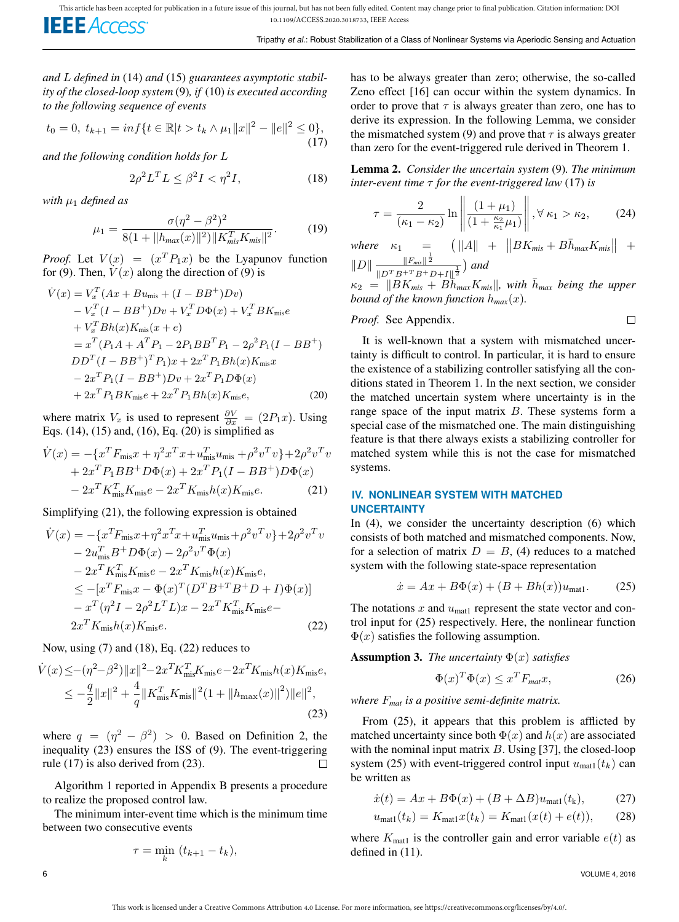*and* L *defined in* (14) *and* (15) *guarantees asymptotic stability of the closed-loop system* (9)*, if* (10) *is executed according to the following sequence of events*

$$
t_0 = 0, \ t_{k+1} = \inf\{t \in \mathbb{R} |t > t_k \wedge \mu_1 ||x||^2 - ||e||^2 \le 0\},\tag{17}
$$

*and the following condition holds for* L

$$
2\rho^2 L^T L \le \beta^2 I < \eta^2 I,\tag{18}
$$

*with*  $\mu_1$  *defined as* 

$$
\mu_1 = \frac{\sigma(\eta^2 - \beta^2)^2}{8(1 + ||h_{\text{max}}(x)||^2) ||K_{\text{mis}}^T K_{\text{mis}}||^2}.
$$
 (19)

*Proof.* Let  $V(x) = (x^T P_1 x)$  be the Lyapunov function for (9). Then,  $V(x)$  along the direction of (9) is

$$
\dot{V}(x) = V_x^T (Ax + Bu_{\text{mis}} + (I - BB^+)Dv) \n- V_x^T (I - BB^+)Dv + V_x^T D\Phi(x) + V_x^T BK_{\text{mis}}e \n+ V_x^T Bh(x)K_{\text{mis}}(x + e) \n= x^T (P_1 A + A^T P_1 - 2P_1 BB^T P_1 - 2\rho^2 P_1 (I - BB^+) \nDD^T (I - BB^+)^T P_1)x + 2x^T P_1 Bh(x)K_{\text{mis}}x \n- 2x^T P_1 (I - BB^+)Dv + 2x^T P_1 D\Phi(x) \n+ 2x^T P_1 BK_{\text{mis}}e + 2x^T P_1 Bh(x)K_{\text{mis}}e, \tag{20}
$$

where matrix  $V_x$  is used to represent  $\frac{\partial V}{\partial x} = (2P_1x)$ . Using Eqs. (14), (15) and, (16), Eq. (20) is simplified as

$$
\dot{V}(x) = -\{x^T F_{\text{mis}} x + \eta^2 x^T x + u_{\text{mis}}^T u_{\text{mis}} + \rho^2 v^T v\} + 2\rho^2 v^T v \n+ 2x^T P_1 B B^+ D \Phi(x) + 2x^T P_1 (I - B B^+) D \Phi(x) \n- 2x^T K_{\text{mis}}^T K_{\text{mis}} e - 2x^T K_{\text{mis}} h(x) K_{\text{mis}} e.
$$
\n(21)

Simplifying (21), the following expression is obtained

$$
\dot{V}(x) = -\{x^T F_{\text{mis}} x + \eta^2 x^T x + u_{\text{mis}}^T u_{\text{mis}} + \rho^2 v^T v\} + 2\rho^2 v^T v \n- 2u_{\text{mis}}^T B^+ D\Phi(x) - 2\rho^2 v^T \Phi(x) \n- 2x^T K_{\text{mis}}^T K_{\text{mis}} e - 2x^T K_{\text{mis}} h(x) K_{\text{mis}} e, \n\le -[x^T F_{\text{mis}} x - \Phi(x)^T (D^T B^{+T} B^+ D + I)\Phi(x)] \n- x^T (\eta^2 I - 2\rho^2 L^T L) x - 2x^T K_{\text{mis}}^T K_{\text{mis}} e - \n2x^T K_{\text{mis}} h(x) K_{\text{mis}} e.
$$
\n(22)

Now, using  $(7)$  and  $(18)$ , Eq.  $(22)$  reduces to

$$
\dot{V}(x) \leq -(\eta^2 - \beta^2) \|x\|^2 - 2x^T K_{\text{mis}}^T K_{\text{mis}} e - 2x^T K_{\text{mis}} h(x) K_{\text{mis}} e,\n\leq -\frac{q}{2} \|x\|^2 + \frac{4}{q} \|K_{\text{mis}}^T K_{\text{mis}}\|^2 (1 + \|h_{\text{max}}(x)\|^2) \|e\|^2,
$$
\n(23)

where  $q = (\eta^2 - \beta^2) > 0$ . Based on Definition 2, the inequality (23) ensures the ISS of (9). The event-triggering rule (17) is also derived from (23).  $\Box$ 

Algorithm 1 reported in Appendix B presents a procedure to realize the proposed control law.

The minimum inter-event time which is the minimum time between two consecutive events

$$
\tau = \min_k (t_{k+1} - t_k),
$$

has to be always greater than zero; otherwise, the so-called Zeno effect [16] can occur within the system dynamics. In order to prove that  $\tau$  is always greater than zero, one has to derive its expression. In the following Lemma, we consider the mismatched system (9) and prove that  $\tau$  is always greater than zero for the event-triggered rule derived in Theorem 1.

Lemma 2. *Consider the uncertain system* (9)*. The minimum inter-event time* τ *for the event-triggered law* (17) *is*

$$
\tau = \frac{2}{(\kappa_1 - \kappa_2)} \ln \left\| \frac{(1 + \mu_1)}{(1 + \frac{\kappa_2}{\kappa_1} \mu_1)} \right\|, \forall \kappa_1 > \kappa_2,
$$
 (24)

 $where \kappa_1 = (||A|| + ||BK_{mis} + B\bar{h}_{max}K_{mis}|| +$  $||D|| \frac{||F_{mis}||^{\frac{1}{2}}}{||F_{mis}||^{\frac{1}{2}}}$  $\frac{\|F_{\textit{mis}}\|^2}{\|D^TB^{+T}B^+D+I\|_2^\frac{1}{2}}\big)\textit{ and }$ 

 $\kappa_2 = ||BK_{mis} + B\overline{h}_{max}K_{mis}||$ , with  $\overline{h}_{max}$  being the upper *bound of the known function*  $h_{max}(x)$ .

## *Proof.* See Appendix.

It is well-known that a system with mismatched uncertainty is difficult to control. In particular, it is hard to ensure the existence of a stabilizing controller satisfying all the conditions stated in Theorem 1. In the next section, we consider the matched uncertain system where uncertainty is in the range space of the input matrix  $B$ . These systems form a special case of the mismatched one. The main distinguishing feature is that there always exists a stabilizing controller for matched system while this is not the case for mismatched systems.

## **IV. NONLINEAR SYSTEM WITH MATCHED UNCERTAINTY**

In (4), we consider the uncertainty description (6) which consists of both matched and mismatched components. Now, for a selection of matrix  $D = B$ , (4) reduces to a matched system with the following state-space representation

$$
\dot{x} = Ax + B\Phi(x) + (B + Bh(x))u_{\text{mat1}}.\tag{25}
$$

The notations  $x$  and  $u_{\text{mat1}}$  represent the state vector and control input for (25) respectively. Here, the nonlinear function  $\Phi(x)$  satisfies the following assumption.

**Assumption 3.** *The uncertainty*  $\Phi(x)$  *satisfies* 

$$
\Phi(x)^T \Phi(x) \le x^T F_{\text{mat}} x,\tag{26}
$$

*where* F*mat is a positive semi-definite matrix.*

From (25), it appears that this problem is afflicted by matched uncertainty since both  $\Phi(x)$  and  $h(x)$  are associated with the nominal input matrix  $B$ . Using [37], the closed-loop system (25) with event-triggered control input  $u_{\text{mat1}}(t_k)$  can be written as

$$
\dot{x}(t) = Ax + B\Phi(x) + (B + \Delta B)u_{\text{mat1}}(t_k),\tag{27}
$$

$$
u_{\text{mat1}}(t_k) = K_{\text{mat1}}x(t_k) = K_{\text{mat1}}(x(t) + e(t)), \quad (28)
$$

where  $K_{\text{mat1}}$  is the controller gain and error variable  $e(t)$  as defined in (11).

 $\Box$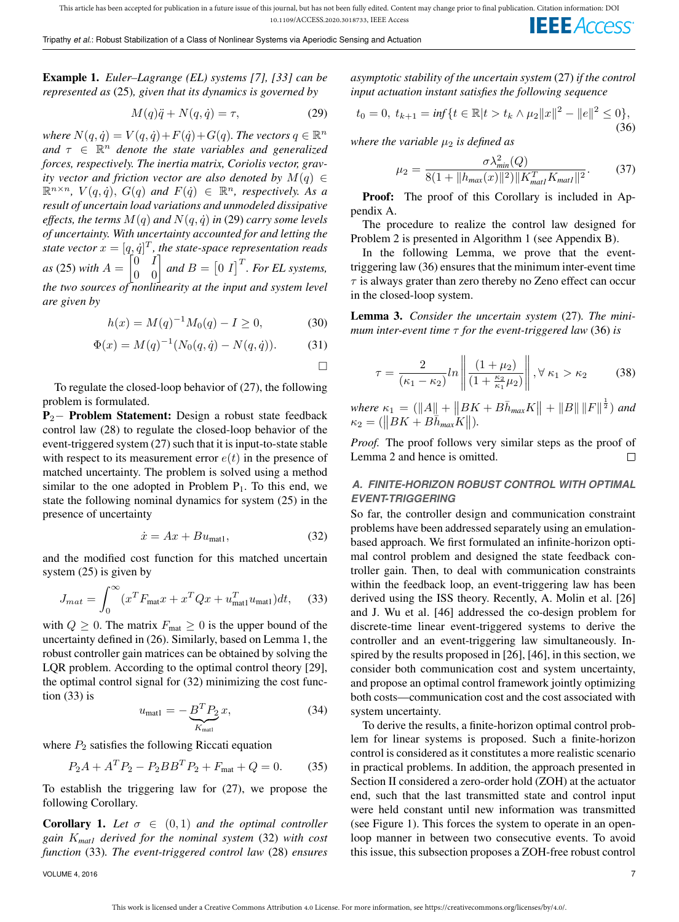Example 1. *Euler–Lagrange (EL) systems [7], [33] can be represented as* (25)*, given that its dynamics is governed by*

$$
M(q)\ddot{q} + N(q, \dot{q}) = \tau,\tag{29}
$$

where  $N(q, \dot{q}) = V(q, \dot{q}) + F(\dot{q}) + G(q)$ . The vectors  $q \in \mathbb{R}^n$ and  $\tau \in \mathbb{R}^n$  *denote the state variables and generalized forces, respectively. The inertia matrix, Coriolis vector, gravity vector and friction vector are also denoted by*  $M(q) \in$  $\mathbb{R}^{n \times n}$ ,  $V(q, \dot{q})$ ,  $G(q)$  and  $F(\dot{q}) \in \mathbb{R}^n$ , respectively. As a *result of uncertain load variations and unmodeled dissipative effects, the terms*  $M(q)$  *and*  $N(q, \dot{q})$  *in* (29) *carry some levels of uncertainty. With uncertainty accounted for and letting the* state vector  $x = [q, \dot{q}]^T$ , the state-space representation reads *as* (25) *with*  $A = \begin{bmatrix} 0 & I \\ 0 & 0 \end{bmatrix}$  *and*  $B = \begin{bmatrix} 0 & I \end{bmatrix}^T$ *. For EL systems, the two sources of nonlinearity at the input and system level are given by*

$$
h(x) = M(q)^{-1}M_0(q) - I \ge 0,
$$
\n(30)

$$
\Phi(x) = M(q)^{-1}(N_0(q, \dot{q}) - N(q, \dot{q})).
$$
\n(31)

 $\Box$ 

To regulate the closed-loop behavior of (27), the following problem is formulated.

P<sub>2</sub>− Problem Statement: Design a robust state feedback control law (28) to regulate the closed-loop behavior of the event-triggered system (27) such that it is input-to-state stable with respect to its measurement error  $e(t)$  in the presence of matched uncertainty. The problem is solved using a method similar to the one adopted in Problem  $P_1$ . To this end, we state the following nominal dynamics for system (25) in the presence of uncertainty

$$
\dot{x} = Ax + Bu_{\text{mat1}},\tag{32}
$$

and the modified cost function for this matched uncertain system (25) is given by

$$
J_{mat} = \int_0^\infty (x^T F_{\text{mat}} x + x^T Q x + u_{\text{mat1}}^T u_{\text{mat1}}) dt, \quad (33)
$$

with  $Q \geq 0$ . The matrix  $F_{\text{mat}} \geq 0$  is the upper bound of the uncertainty defined in (26). Similarly, based on Lemma 1, the robust controller gain matrices can be obtained by solving the LQR problem. According to the optimal control theory [29], the optimal control signal for (32) minimizing the cost function (33) is

$$
u_{\text{mat1}} = -\underbrace{B^T P_2}_{K_{\text{mat1}}} x,\tag{34}
$$

where  $P_2$  satisfies the following Riccati equation

$$
P_2A + A^T P_2 - P_2 B B^T P_2 + F_{\text{mat}} + Q = 0. \tag{35}
$$

To establish the triggering law for (27), we propose the following Corollary.

**Corollary 1.** Let  $\sigma \in (0,1)$  and the optimal controller *gain* K*mat1 derived for the nominal system* (32) *with cost function* (33)*. The event-triggered control law* (28) *ensures*

*asymptotic stability of the uncertain system* (27) *if the control input actuation instant satisfies the following sequence*

$$
t_0 = 0, \ t_{k+1} = \inf\{t \in \mathbb{R} |t > t_k \wedge \mu_2 \|x\|^2 - \|e\|^2 \le 0\},\tag{36}
$$

*where the variable*  $\mu_2$  *is defined as* 

$$
\mu_2 = \frac{\sigma \lambda_{min}^2(Q)}{8(1 + ||h_{max}(x)||^2) ||K_{matl}^T K_{matl}||^2}.
$$
 (37)

Proof: The proof of this Corollary is included in Appendix A.

The procedure to realize the control law designed for Problem 2 is presented in Algorithm 1 (see Appendix B).

In the following Lemma, we prove that the eventtriggering law (36) ensures that the minimum inter-event time  $\tau$  is always grater than zero thereby no Zeno effect can occur in the closed-loop system.

Lemma 3. *Consider the uncertain system* (27)*. The minimum inter-event time* τ *for the event-triggered law* (36) *is*

$$
\tau = \frac{2}{(\kappa_1 - \kappa_2)} ln \left\| \frac{(1 + \mu_2)}{(1 + \frac{\kappa_2}{\kappa_1} \mu_2)} \right\|, \forall \kappa_1 > \kappa_2 \tag{38}
$$

 $where \kappa_1 = (\|A\| + \|BK + B\bar{h}_{max}K\| + \|B\| \|F\|^{\frac{1}{2}})$  and  $\kappa_2 = (\|BK + B\bar{h}_{max}K\|).$ 

*Proof.* The proof follows very similar steps as the proof of Lemma 2 and hence is omitted.  $\Box$ 

# *A. FINITE-HORIZON ROBUST CONTROL WITH OPTIMAL EVENT-TRIGGERING*

So far, the controller design and communication constraint problems have been addressed separately using an emulationbased approach. We first formulated an infinite-horizon optimal control problem and designed the state feedback controller gain. Then, to deal with communication constraints within the feedback loop, an event-triggering law has been derived using the ISS theory. Recently, A. Molin et al. [26] and J. Wu et al. [46] addressed the co-design problem for discrete-time linear event-triggered systems to derive the controller and an event-triggering law simultaneously. Inspired by the results proposed in [26], [46], in this section, we consider both communication cost and system uncertainty, and propose an optimal control framework jointly optimizing both costs—communication cost and the cost associated with system uncertainty.

To derive the results, a finite-horizon optimal control problem for linear systems is proposed. Such a finite-horizon control is considered as it constitutes a more realistic scenario in practical problems. In addition, the approach presented in Section II considered a zero-order hold (ZOH) at the actuator end, such that the last transmitted state and control input were held constant until new information was transmitted (see Figure 1). This forces the system to operate in an openloop manner in between two consecutive events. To avoid this issue, this subsection proposes a ZOH-free robust control

VOLUME 4, 2016  $\hskip 1.6cm 7$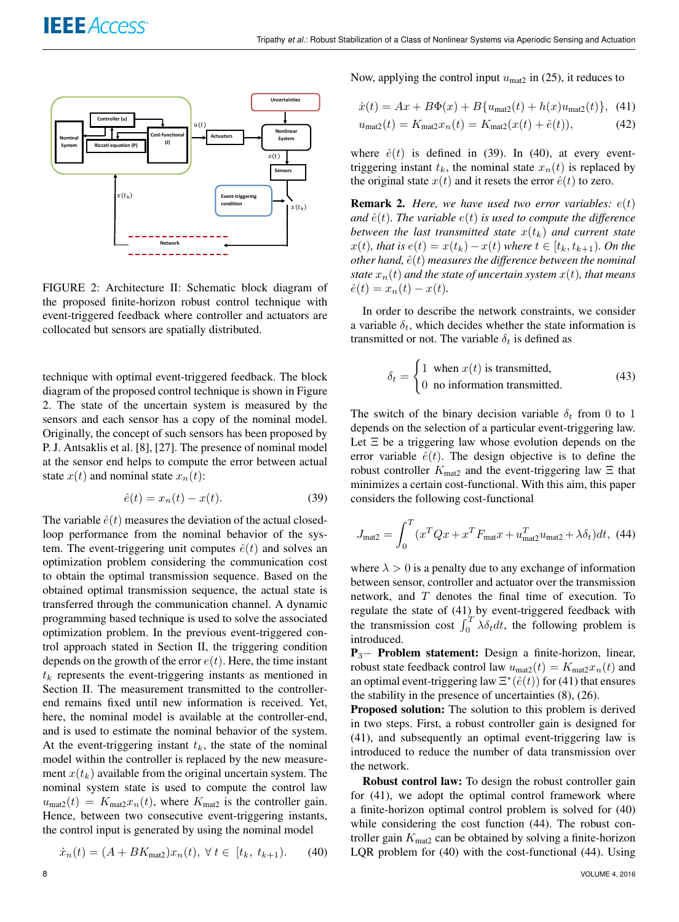

FIGURE 2: Architecture II: Schematic block diagram of the proposed finite-horizon robust control technique with event-triggered feedback where controller and actuators are collocated but sensors are spatially distributed.

technique with optimal event-triggered feedback. The block diagram of the proposed control technique is shown in Figure 2. The state of the uncertain system is measured by the sensors and each sensor has a copy of the nominal model. Originally, the concept of such sensors has been proposed by P. J. Antsaklis et al. [8], [27]. The presence of nominal model at the sensor end helps to compute the error between actual state  $x(t)$  and nominal state  $x_n(t)$ :

$$
\hat{e}(t) = x_n(t) - x(t). \tag{39}
$$

The variable  $\hat{e}(t)$  measures the deviation of the actual closedloop performance from the nominal behavior of the system. The event-triggering unit computes  $\hat{e}(t)$  and solves an optimization problem considering the communication cost to obtain the optimal transmission sequence. Based on the obtained optimal transmission sequence, the actual state is transferred through the communication channel. A dynamic programming based technique is used to solve the associated optimization problem. In the previous event-triggered control approach stated in Section II, the triggering condition depends on the growth of the error  $e(t)$ . Here, the time instant  $t_k$  represents the event-triggering instants as mentioned in Section II. The measurement transmitted to the controllerend remains fixed until new information is received. Yet, here, the nominal model is available at the controller-end, and is used to estimate the nominal behavior of the system. At the event-triggering instant  $t_k$ , the state of the nominal model within the controller is replaced by the new measurement  $x(t_k)$  available from the original uncertain system. The nominal system state is used to compute the control law  $u_{\text{mat2}}(t) = K_{\text{mat2}}x_n(t)$ , where  $K_{\text{mat2}}$  is the controller gain. Hence, between two consecutive event-triggering instants, the control input is generated by using the nominal model

$$
\dot{x}_n(t) = (A + BK_{\text{mat2}})x_n(t), \ \forall \ t \in [t_k, t_{k+1}). \tag{40}
$$

Now, applying the control input  $u_{\text{mat2}}$  in (25), it reduces to

$$
\dot{x}(t) = Ax + B\Phi(x) + B\{u_{\text{mat2}}(t) + h(x)u_{\text{mat2}}(t)\}, \tag{41}
$$

$$
u_{\text{mat2}}(t) = K_{\text{mat2}} x_n(t) = K_{\text{mat2}}(x(t) + \hat{e}(t)), \tag{42}
$$

where  $\hat{e}(t)$  is defined in (39). In (40), at every eventtriggering instant  $t_k$ , the nominal state  $x_n(t)$  is replaced by the original state  $x(t)$  and it resets the error  $\hat{e}(t)$  to zero.

**Remark 2.** *Here, we have used two error variables:*  $e(t)$ *and*  $\hat{e}(t)$ *. The variable*  $e(t)$  *is used to compute the difference between the last transmitted state*  $x(t_k)$  *and current state*  $x(t)$ *, that is*  $e(t) = x(t_k) - x(t)$  where  $t \in [t_k, t_{k+1})$ *. On the other hand,*  $\hat{e}(t)$  *measures the difference between the nominal state*  $x_n(t)$  *and the state of uncertain system*  $x(t)$ *, that means*  $\hat{e}(t) = x_n(t) - x(t)$ .

In order to describe the network constraints, we consider a variable  $\delta_t$ , which decides whether the state information is transmitted or not. The variable  $\delta_t$  is defined as

$$
\delta_t = \begin{cases} 1 & \text{when } x(t) \text{ is transmitted,} \\ 0 & \text{no information transmitted.} \end{cases}
$$
 (43)

The switch of the binary decision variable  $\delta_t$  from 0 to 1 depends on the selection of a particular event-triggering law. Let  $\Xi$  be a triggering law whose evolution depends on the error variable  $\hat{e}(t)$ . The design objective is to define the robust controller  $K_{\text{mat2}}$  and the event-triggering law  $\Xi$  that minimizes a certain cost-functional. With this aim, this paper considers the following cost-functional

$$
J_{\text{mat2}} = \int_0^T (x^T Q x + x^T F_{\text{mat}} x + u_{\text{mat2}}^T u_{\text{mat2}} + \lambda \delta_t) dt, \tag{44}
$$

where  $\lambda > 0$  is a penalty due to any exchange of information between sensor, controller and actuator over the transmission network, and  $T$  denotes the final time of execution. To regulate the state of (41) by event-triggered feedback with the transmission cost  $\int_0^T \lambda \delta_t dt$ , the following problem is introduced.

 $P_3$ – Problem statement: Design a finite-horizon, linear, robust state feedback control law  $u_{\text{mat2}}(t) = K_{\text{mat2}}x_n(t)$  and an optimal event-triggering law  $\Xi^*(\hat{e}(t))$  for (41) that ensures the stability in the presence of uncertainties (8), (26).

Proposed solution: The solution to this problem is derived in two steps. First, a robust controller gain is designed for (41), and subsequently an optimal event-triggering law is introduced to reduce the number of data transmission over the network.

Robust control law: To design the robust controller gain for (41), we adopt the optimal control framework where a finite-horizon optimal control problem is solved for (40) while considering the cost function (44). The robust controller gain  $K_{\text{mat2}}$  can be obtained by solving a finite-horizon LQR problem for (40) with the cost-functional (44). Using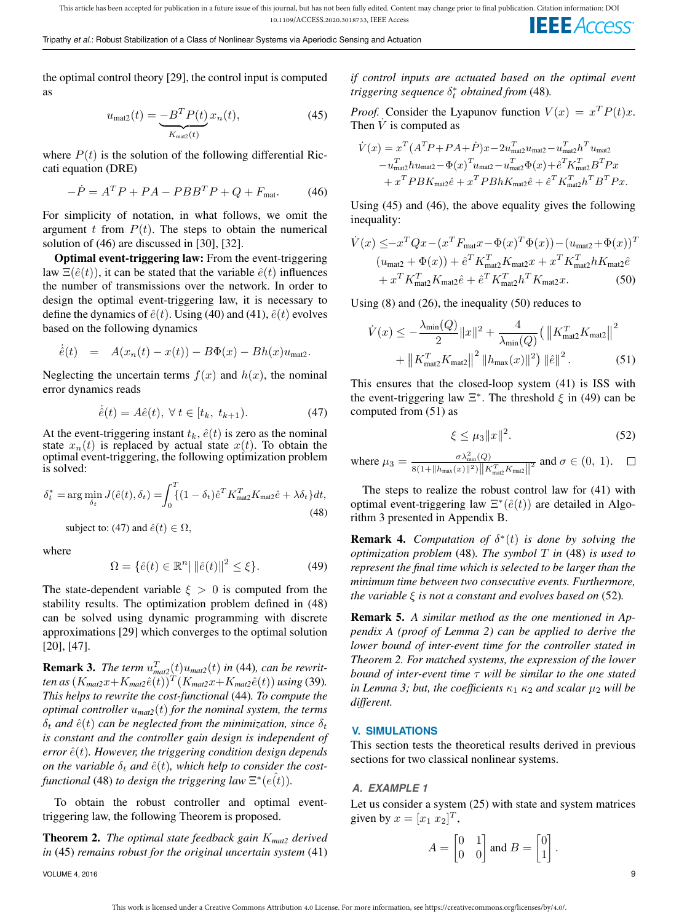the optimal control theory [29], the control input is computed as

$$
u_{\text{mat2}}(t) = \underbrace{-B^T P(t)}_{K_{\text{mat2}}(t)} x_n(t),\tag{45}
$$

where  $P(t)$  is the solution of the following differential Riccati equation (DRE)

$$
-\dot{P} = A^T P + P A - P B B^T P + Q + F_{\text{mat}}.
$$
 (46)

For simplicity of notation, in what follows, we omit the argument t from  $P(t)$ . The steps to obtain the numerical solution of (46) are discussed in [30], [32].

Optimal event-triggering law: From the event-triggering law  $\Xi(\hat{e}(t))$ , it can be stated that the variable  $\hat{e}(t)$  influences the number of transmissions over the network. In order to design the optimal event-triggering law, it is necessary to define the dynamics of  $\hat{e}(t)$ . Using (40) and (41),  $\hat{e}(t)$  evolves based on the following dynamics

$$
\dot{\hat{e}}(t) = A(x_n(t) - x(t)) - B\Phi(x) - Bh(x)u_{\text{mat2}}.
$$

Neglecting the uncertain terms  $f(x)$  and  $h(x)$ , the nominal error dynamics reads

$$
\dot{\hat{e}}(t) = A\hat{e}(t), \ \forall \ t \in [t_k, \ t_{k+1}). \tag{47}
$$

At the event-triggering instant  $t_k$ ,  $\hat{e}(t)$  is zero as the nominal state  $x_n(t)$  is replaced by actual state  $x(t)$ . To obtain the optimal event-triggering, the following optimization problem is solved:

$$
\delta_t^* = \arg\min_{\delta_t} J(\hat{e}(t), \delta_t) = \int_0^T \{(1 - \delta_t)\hat{e}^T K_{\text{mat2}}^T K_{\text{mat2}}\hat{e} + \lambda \delta_t\} dt,
$$
\n(48)

subject to: (47) and  $\hat{e}(t) \in \Omega$ ,

where

$$
\Omega = \{\hat{e}(t) \in \mathbb{R}^n \,|\, \|\hat{e}(t)\|^2 \le \xi\}.
$$
 (49)

The state-dependent variable  $\xi > 0$  is computed from the stability results. The optimization problem defined in (48) can be solved using dynamic programming with discrete approximations [29] which converges to the optimal solution [20], [47].

**Remark 3.** *The term*  $u_{\text{mat2}}^T(t)u_{\text{mat2}}(t)$  *in* (44)*, can be rewrit* $t$ en as  $(K_{\text{mat2}}x+K_{\text{mat2}}\hat{e}(t))^T(K_{\text{mat2}}x+K_{\text{mat2}}\hat{e}(t))$  *using* (39)*. This helps to rewrite the cost-functional* (44)*. To compute the optimal controller* u*mat2*(t) *for the nominal system, the terms*  $\delta_t$  *and*  $\hat{e}(t)$  *can be neglected from the minimization, since*  $\delta_t$ *is constant and the controller gain design is independent of*  $error\,\hat{e}(t)$ . However, the triggering condition design depends *on the variable*  $\delta_t$  *and*  $\hat{e}(t)$ *, which help to consider the costfunctional* (48) *to design the triggering law*  $\Xi^*(e\hat{t})$ .

To obtain the robust controller and optimal eventtriggering law, the following Theorem is proposed.

Theorem 2. *The optimal state feedback gain* K*mat2 derived in* (45) *remains robust for the original uncertain system* (41)

VOLUME 4, 2016 9

*if control inputs are actuated based on the optimal event triggering sequence*  $\delta_t^*$  *obtained from* (48).

*Proof.* Consider the Lyapunov function  $V(x) = x^T P(t)x$ . Then  $\dot{V}$  is computed as

$$
\begin{split} \dot{V}(x) &= x^T (A^T P + P A + \dot{P}) x - 2 u_{\text{mat2}}^T u_{\text{mat2}} - u_{\text{mat2}}^T h^T u_{\text{mat2}} \\ &- u_{\text{mat2}}^T h u_{\text{mat2}} - \Phi(x)^T u_{\text{mat2}} - u_{\text{mat2}}^T \Phi(x) + \hat{e}^T K_{\text{mat2}}^T B^T P x \\ &+ x^T P B K_{\text{mat2}} \hat{e} + x^T P B h K_{\text{mat2}} \hat{e} + \hat{e}^T K_{\text{mat2}}^T h^T B^T P x. \end{split}
$$

Using (45) and (46), the above equality gives the following inequality:

$$
\dot{V}(x) \leq -x^T Q x - (x^T F_{\text{mat}} x - \Phi(x)^T \Phi(x)) - (u_{\text{mat2}} + \Phi(x))^T \n(u_{\text{mat2}} + \Phi(x)) + \hat{e}^T K_{\text{mat2}}^T K_{\text{mat2}} x + x^T K_{\text{mat2}}^T h K_{\text{mat2}} \hat{e} \n+ x^T K_{\text{mat2}}^T K_{\text{mat2}} \hat{e} + \hat{e}^T K_{\text{mat2}}^T h^T K_{\text{mat2}} x.
$$
\n(50)

Using (8) and (26), the inequality (50) reduces to

$$
\dot{V}(x) \le -\frac{\lambda_{\min}(Q)}{2} \|x\|^2 + \frac{4}{\lambda_{\min}(Q)} (\left\|K_{\text{mat2}}^T K_{\text{mat2}}\right\|^2 + \left\|K_{\text{mat2}}^T K_{\text{mat2}}\right\|^2 + \left\|K_{\text{mat2}}^T K_{\text{mat2}}\right\|^2 \left\|h_{\text{max}}(x)\right\|^2) \left\|\hat{e}\right\|^2. \tag{51}
$$

This ensures that the closed-loop system (41) is ISS with the event-triggering law  $\Xi^*$ . The threshold  $\xi$  in (49) can be computed from (51) as

$$
\xi \le \mu_3 \|x\|^2. \tag{52}
$$

where 
$$
\mu_3 = \frac{\sigma \lambda_{\min}^2(Q)}{8(1 + ||h_{\max}(x)||^2) ||K_{\max}^T K_{\max}||^2}
$$
 and  $\sigma \in (0, 1)$ .  $\square$ 

The steps to realize the robust control law for (41) with optimal event-triggering law  $\Xi^*(\hat{e}(t))$  are detailed in Algorithm 3 presented in Appendix B.

**Remark 4.** *Computation of*  $\delta^*(t)$  *is done by solving the optimization problem* (48)*. The symbol* T *in* (48) *is used to represent the final time which is selected to be larger than the minimum time between two consecutive events. Furthermore, the variable* ξ *is not a constant and evolves based on* (52)*.*

Remark 5. *A similar method as the one mentioned in Appendix A (proof of Lemma 2) can be applied to derive the lower bound of inter-event time for the controller stated in Theorem 2. For matched systems, the expression of the lower bound of inter-event time* τ *will be similar to the one stated in Lemma 3; but, the coefficients*  $\kappa_1 \kappa_2$  *and scalar*  $\mu_2$  *will be different.*

## **V. SIMULATIONS**

This section tests the theoretical results derived in previous sections for two classical nonlinear systems.

## *A. EXAMPLE 1*

Let us consider a system (25) with state and system matrices given by  $x = [x_1 \ x_2]^T$ ,

$$
A = \begin{bmatrix} 0 & 1 \\ 0 & 0 \end{bmatrix}
$$
 and 
$$
B = \begin{bmatrix} 0 \\ 1 \end{bmatrix}
$$
.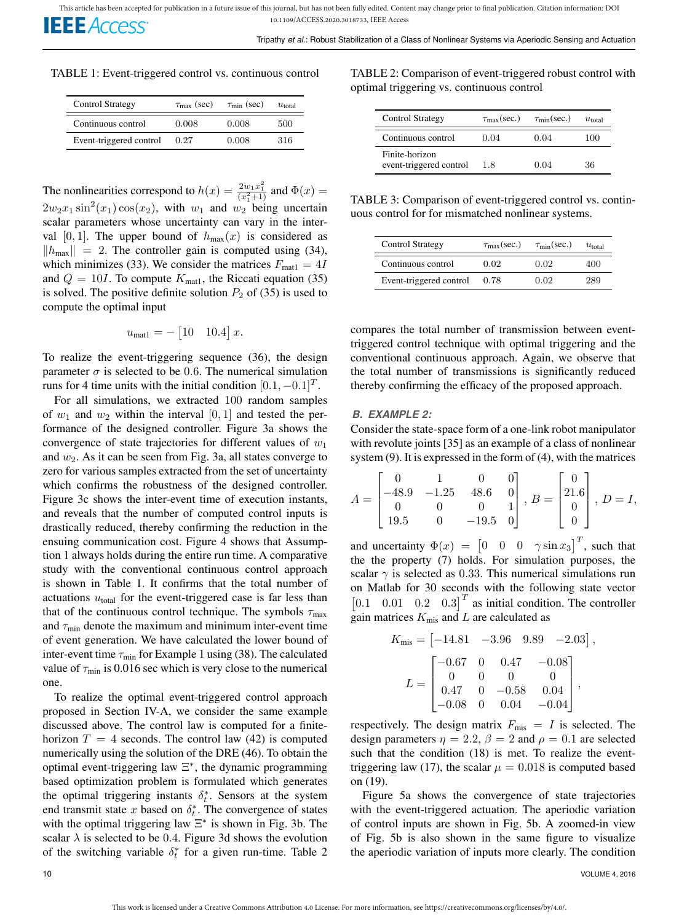**IEEE** Access

TABLE 1: Event-triggered control vs. continuous control

| <b>Control Strategy</b> | $\tau_{\text{max}}$ (sec) | $\tau_{\min}$ (sec) | $u_{\rm total}$ |
|-------------------------|---------------------------|---------------------|-----------------|
| Continuous control      | 0.008                     | 0.008               | 500             |
| Event-triggered control | 0.27                      | 0.008               | 316             |

The nonlinearities correspond to  $h(x) = \frac{2w_1x_1^2}{(x_1^2+1)}$  and  $\Phi(x) =$  $2w_2x_1\sin^2(x_1)\cos(x_2)$ , with  $w_1$  and  $w_2$  being uncertain scalar parameters whose uncertainty can vary in the interval [0, 1]. The upper bound of  $h_{\text{max}}(x)$  is considered as  $\|h_{\text{max}}\| = 2$ . The controller gain is computed using (34), which minimizes (33). We consider the matrices  $F_{\text{mat1}} = 4I$ and  $Q = 10I$ . To compute  $K_{\text{mat1}}$ , the Riccati equation (35) is solved. The positive definite solution  $P_2$  of (35) is used to compute the optimal input

$$
u_{\text{mat1}} = -\begin{bmatrix} 10 & 10.4 \end{bmatrix} x.
$$

To realize the event-triggering sequence (36), the design parameter  $\sigma$  is selected to be 0.6. The numerical simulation runs for 4 time units with the initial condition  $[0.1, -0.1]^T$ .

For all simulations, we extracted 100 random samples of  $w_1$  and  $w_2$  within the interval [0, 1] and tested the performance of the designed controller. Figure 3a shows the convergence of state trajectories for different values of  $w_1$ and  $w_2$ . As it can be seen from Fig. 3a, all states converge to zero for various samples extracted from the set of uncertainty which confirms the robustness of the designed controller. Figure 3c shows the inter-event time of execution instants, and reveals that the number of computed control inputs is drastically reduced, thereby confirming the reduction in the ensuing communication cost. Figure 4 shows that Assumption 1 always holds during the entire run time. A comparative study with the conventional continuous control approach is shown in Table 1. It confirms that the total number of actuations  $u_{total}$  for the event-triggered case is far less than that of the continuous control technique. The symbols  $\tau_{\text{max}}$ and  $\tau_{\min}$  denote the maximum and minimum inter-event time of event generation. We have calculated the lower bound of inter-event time  $\tau_{\min}$  for Example 1 using (38). The calculated value of  $\tau_{\text{min}}$  is 0.016 sec which is very close to the numerical one.

To realize the optimal event-triggered control approach proposed in Section IV-A, we consider the same example discussed above. The control law is computed for a finitehorizon  $T = 4$  seconds. The control law (42) is computed numerically using the solution of the DRE (46). To obtain the optimal event-triggering law Ξ ∗ , the dynamic programming based optimization problem is formulated which generates the optimal triggering instants  $\delta_t^*$ . Sensors at the system end transmit state x based on  $\delta_t^*$ . The convergence of states with the optimal triggering law  $\Xi^*$  is shown in Fig. 3b. The scalar  $\lambda$  is selected to be 0.4. Figure 3d shows the evolution of the switching variable  $\delta_t^*$  for a given run-time. Table 2

TABLE 2: Comparison of event-triggered robust control with optimal triggering vs. continuous control

| <b>Control Strategy</b>                   | $\tau_{\text{max}}(\text{sec.})$ | $\tau_{\min}(\text{sec.})$ | $u_{\rm total}$ |
|-------------------------------------------|----------------------------------|----------------------------|-----------------|
| Continuous control                        | 0.04                             | 0.04                       | 100             |
| Finite-horizon<br>event-triggered control | 1.8                              | 0.04                       | 36              |

TABLE 3: Comparison of event-triggered control vs. continuous control for for mismatched nonlinear systems.

| <b>Control Strategy</b> | $\tau_{\text{max}}(\text{sec.})$ | $\tau_{\min}(\text{sec.})$ | $u_{\rm total}$ |
|-------------------------|----------------------------------|----------------------------|-----------------|
| Continuous control      | 0.02                             | 0.02                       | 400             |
| Event-triggered control | 0.78                             | 0.02                       | 289             |

compares the total number of transmission between eventtriggered control technique with optimal triggering and the conventional continuous approach. Again, we observe that the total number of transmissions is significantly reduced thereby confirming the efficacy of the proposed approach.

## *B. EXAMPLE 2:*

Consider the state-space form of a one-link robot manipulator with revolute joints [35] as an example of a class of nonlinear system (9). It is expressed in the form of (4), with the matrices

$$
A = \begin{bmatrix} 0 & 1 & 0 & 0 \\ -48.9 & -1.25 & 48.6 & 0 \\ 0 & 0 & 0 & 1 \\ 19.5 & 0 & -19.5 & 0 \end{bmatrix}, B = \begin{bmatrix} 0 \\ 21.6 \\ 0 \\ 0 \end{bmatrix}, D = I,
$$

and uncertainty  $\Phi(x) = \begin{bmatrix} 0 & 0 & 0 & \gamma \sin x_3 \end{bmatrix}^T$ , such that the the property (7) holds. For simulation purposes, the scalar  $\gamma$  is selected as 0.33. This numerical simulations run on Matlab for 30 seconds with the following state vector  $\begin{bmatrix} 0.1 & 0.01 & 0.2 & 0.3 \end{bmatrix}^T$  as initial condition. The controller gain matrices  $K_{\text{mis}}$  and L are calculated as

$$
K_{\text{mis}} = \begin{bmatrix} -14.81 & -3.96 & 9.89 & -2.03 \end{bmatrix},
$$
  
\n
$$
L = \begin{bmatrix} -0.67 & 0 & 0.47 & -0.08 \\ 0 & 0 & 0 & 0 \\ 0.47 & 0 & -0.58 & 0.04 \\ -0.08 & 0 & 0.04 & -0.04 \end{bmatrix},
$$

respectively. The design matrix  $F_{\text{mis}} = I$  is selected. The design parameters  $\eta = 2.2$ ,  $\beta = 2$  and  $\rho = 0.1$  are selected such that the condition (18) is met. To realize the eventtriggering law (17), the scalar  $\mu = 0.018$  is computed based on (19).

Figure 5a shows the convergence of state trajectories with the event-triggered actuation. The aperiodic variation of control inputs are shown in Fig. 5b. A zoomed-in view of Fig. 5b is also shown in the same figure to visualize the aperiodic variation of inputs more clearly. The condition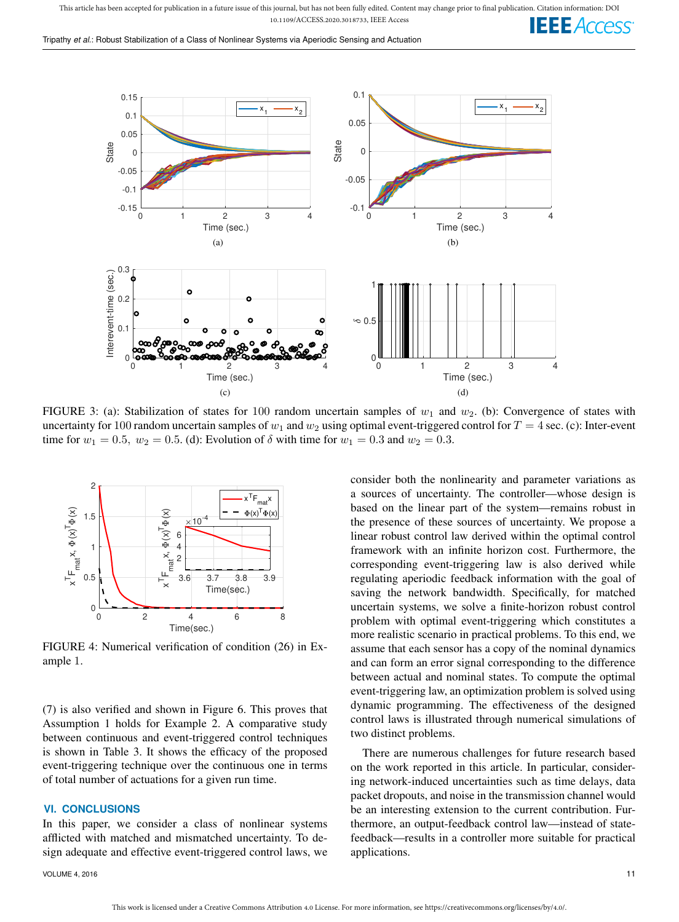This article has been accepted for publication in a future issue of this journal, but has not been fully edited. Content may change prior to final publication. Citation information: DOI 10.1109/ACCESS.2020.3018733, IEEE Access **IEEE** Access

Tripathy *et al.*: Robust Stabilization of a Class of Nonlinear Systems via Aperiodic Sensing and Actuation



FIGURE 3: (a): Stabilization of states for 100 random uncertain samples of  $w_1$  and  $w_2$ . (b): Convergence of states with uncertainty for 100 random uncertain samples of  $w_1$  and  $w_2$  using optimal event-triggered control for  $T = 4$  sec. (c): Inter-event time for  $w_1 = 0.5$ ,  $w_2 = 0.5$ . (d): Evolution of  $\delta$  with time for  $w_1 = 0.3$  and  $w_2 = 0.3$ .



FIGURE 4: Numerical verification of condition (26) in Example 1.

(7) is also verified and shown in Figure 6. This proves that Assumption 1 holds for Example 2. A comparative study between continuous and event-triggered control techniques is shown in Table 3. It shows the efficacy of the proposed event-triggering technique over the continuous one in terms of total number of actuations for a given run time.

## **VI. CONCLUSIONS**

In this paper, we consider a class of nonlinear systems afflicted with matched and mismatched uncertainty. To design adequate and effective event-triggered control laws, we

VOLUME 4, 2016 **11** 

consider both the nonlinearity and parameter variations as a sources of uncertainty. The controller—whose design is based on the linear part of the system—remains robust in the presence of these sources of uncertainty. We propose a linear robust control law derived within the optimal control framework with an infinite horizon cost. Furthermore, the corresponding event-triggering law is also derived while regulating aperiodic feedback information with the goal of saving the network bandwidth. Specifically, for matched uncertain systems, we solve a finite-horizon robust control problem with optimal event-triggering which constitutes a more realistic scenario in practical problems. To this end, we assume that each sensor has a copy of the nominal dynamics and can form an error signal corresponding to the difference between actual and nominal states. To compute the optimal event-triggering law, an optimization problem is solved using dynamic programming. The effectiveness of the designed control laws is illustrated through numerical simulations of two distinct problems.

There are numerous challenges for future research based on the work reported in this article. In particular, considering network-induced uncertainties such as time delays, data packet dropouts, and noise in the transmission channel would be an interesting extension to the current contribution. Furthermore, an output-feedback control law—instead of statefeedback—results in a controller more suitable for practical applications.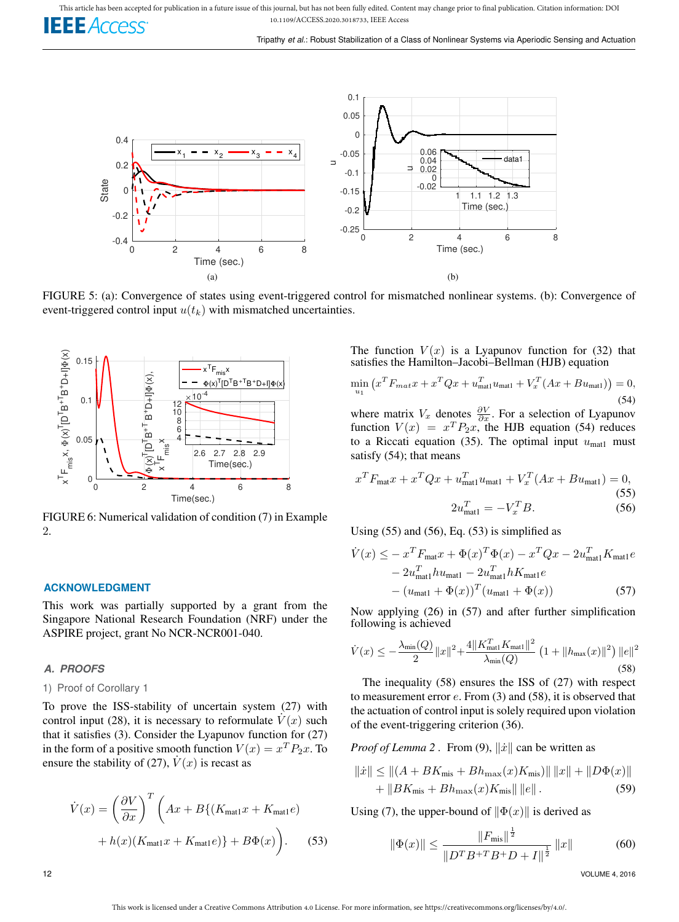

FIGURE 5: (a): Convergence of states using event-triggered control for mismatched nonlinear systems. (b): Convergence of event-triggered control input  $u(t_k)$  with mismatched uncertainties.



FIGURE 6: Numerical validation of condition (7) in Example 2.

#### **ACKNOWLEDGMENT**

This work was partially supported by a grant from the Singapore National Research Foundation (NRF) under the ASPIRE project, grant No NCR-NCR001-040.

## *A. PROOFS*

### 1) Proof of Corollary 1

To prove the ISS-stability of uncertain system (27) with control input (28), it is necessary to reformulate  $\dot{V}(x)$  such that it satisfies  $(3)$ . Consider the Lyapunov function for  $(27)$ in the form of a positive smooth function  $V(x) = x^T P_2 x$ . To ensure the stability of (27),  $\dot{V}(x)$  is recast as

$$
\dot{V}(x) = \left(\frac{\partial V}{\partial x}\right)^T \left(Ax + B\{(K_{\text{mat1}}x + K_{\text{mat1}}e) + h(x)(K_{\text{mat1}}x + K_{\text{mat1}}e)\right)
$$
\n
$$
(53)
$$

The function  $V(x)$  is a Lyapunov function for (32) that satisfies the Hamilton–Jacobi–Bellman (HJB) equation

$$
\min_{u_1} (x^T F_{mat} x + x^T Q x + u_{\text{matt}}^T u_{\text{matt}} + V_x^T (Ax + Bu_{\text{matt}})) = 0,
$$
\n(54)

where matrix  $V_x$  denotes  $\frac{\partial V}{\partial x}$ . For a selection of Lyapunov function  $V(x) = x^T P_2 x$ , the HJB equation (54) reduces to a Riccati equation (35). The optimal input  $u_{\text{mat1}}$  must satisfy (54); that means

$$
x^{T} F_{\text{mat}} x + x^{T} Q x + u_{\text{mat1}}^{T} u_{\text{mat1}} + V_{x}^{T} (Ax + Bu_{\text{mat1}}) = 0,
$$
\n(55)\n
$$
2u_{\text{mat1}}^{T} = -V_{x}^{T} B.
$$
\n(56)

Using  $(55)$  and  $(56)$ , Eq.  $(53)$  is simplified as

$$
\dot{V}(x) \leq -x^T F_{\text{mat}} x + \Phi(x)^T \Phi(x) - x^T Q x - 2u_{\text{mat1}}^T K_{\text{mat1}} e \n- 2u_{\text{mat1}}^T h u_{\text{mat1}} - 2u_{\text{mat1}}^T h K_{\text{mat1}} e \n- (u_{\text{mat1}} + \Phi(x))^T (u_{\text{mat1}} + \Phi(x))
$$
\n(57)

Now applying (26) in (57) and after further simplification following is achieved

$$
\dot{V}(x) \le -\frac{\lambda_{\min}(Q)}{2} \|x\|^2 + \frac{4\|K_{\text{matt}}^T K_{\text{matt}}\|^2}{\lambda_{\min}(Q)} \left(1 + \|h_{\text{max}}(x)\|^2\right) \|e\|^2
$$
\n(58)

The inequality (58) ensures the ISS of (27) with respect to measurement error  $e$ . From  $(3)$  and  $(58)$ , it is observed that the actuation of control input is solely required upon violation of the event-triggering criterion (36).

*Proof of Lemma* 2. From (9),  $\|\dot{x}\|$  can be written as

$$
||\dot{x}|| \le ||(A + BK_{\text{mis}} + Bh_{\text{max}}(x)K_{\text{mis}})|| ||x|| + ||D\Phi(x)||
$$
  
+ 
$$
||BK_{\text{mis}} + Bh_{\text{max}}(x)K_{\text{mis}}|| ||e||.
$$
 (59)

Using (7), the upper-bound of  $\|\Phi(x)\|$  is derived as

$$
\|\Phi(x)\| \le \frac{\|F_{\text{mis}}\|^{\frac{1}{2}}}{\|D^T B + T B + D + I\|^{\frac{1}{2}}} \|x\|
$$
 (60)

12 VOLUME 4, 2016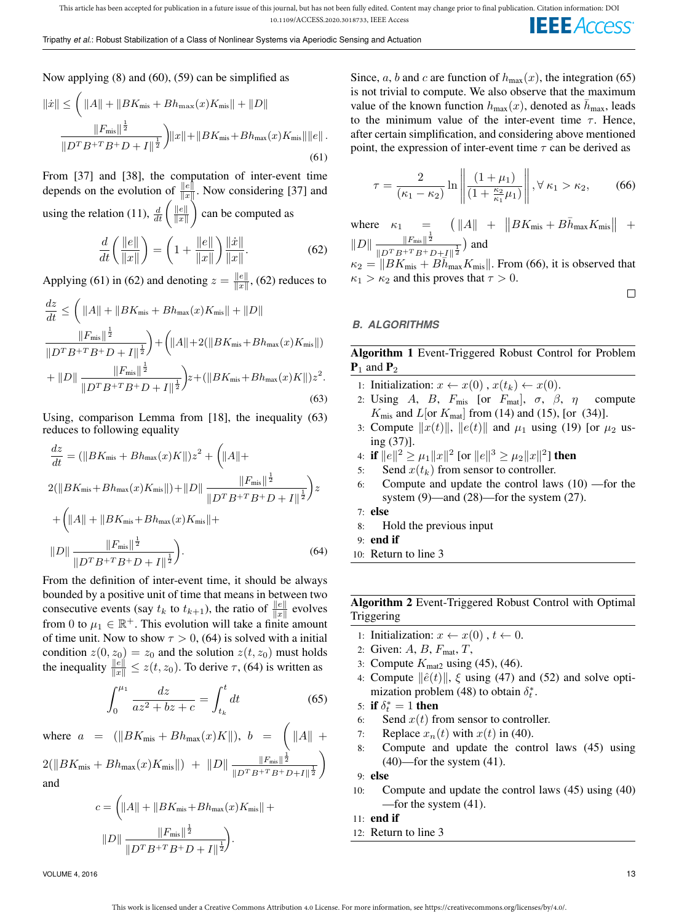Now applying (8) and (60), (59) can be simplified as

$$
\|\dot{x}\| \leq \left( \|A\| + \|BK_{\text{mis}} + Bh_{\text{max}}(x)K_{\text{mis}}\| + \|D\| \frac{\|F_{\text{mis}}\|^{\frac{1}{2}}}{\|D^T B^{+T} B^+ D + I\|^{\frac{1}{2}}}\right) \|x\| + \|BK_{\text{mis}} + Bh_{\text{max}}(x)K_{\text{mis}}\| \|e\|.
$$
\n(61)

From [37] and [38], the computation of inter-event time depends on the evolution of  $\frac{\|e\|}{\|x\|}$ . Now considering [37] and using the relation (11),  $\frac{d}{dt} \left( \frac{\|e\|}{\|x\|} \right)$  $\Vert x \Vert$  $\hat{ }$  can be computed as

$$
\frac{d}{dt}\left(\frac{\|e\|}{\|x\|}\right) = \left(1 + \frac{\|e\|}{\|x\|}\right)\frac{\|x\|}{\|x\|}.\tag{62}
$$

Applying (61) in (62) and denoting  $z = \frac{\|e\|}{\|x\|}$  $\frac{\|e\|}{\|x\|}$ , (62) reduces to

$$
\frac{dz}{dt} \leq \left( ||A|| + ||BK_{\text{mis}} + Bh_{\text{max}}(x)K_{\text{mis}}|| + ||D|| \right)
$$
  
\n
$$
\frac{||F_{\text{mis}}||^{\frac{1}{2}}}{||D^T B + T B + D + I||^{\frac{1}{2}}}\right) + \left( ||A|| + 2(||BK_{\text{mis}} + Bh_{\text{max}}(x)K_{\text{mis}}||) + ||D|| \frac{||F_{\text{mis}}||^{\frac{1}{2}}}{||D^T B + T B + D + I||^{\frac{1}{2}}}\right)z + (||BK_{\text{mis}} + Bh_{\text{max}}(x)K||)z^2.
$$
\n(63)

Using, comparison Lemma from [18], the inequality (63) reduces to following equality

$$
\frac{dz}{dt} = (\|BK_{\text{mis}} + Bh_{\text{max}}(x)K\|)z^2 + \left(\|A\| + 2(\|BK_{\text{mis}} + Bh_{\text{max}}(x)K_{\text{mis}}\|) + \|D\| \frac{\|F_{\text{mis}}\|^{\frac{1}{2}}}{\|D^T B^{+T} B^+ D + I\|^{\frac{1}{2}}}\right)z
$$

$$
+ \left(\|A\| + \|BK_{\text{mis}} + Bh_{\text{max}}(x)K_{\text{mis}}\| + \|D\| \frac{\|F_{\text{mis}}\|^{\frac{1}{2}}}{\|D^T B^{+T} B^+ D + I\|^{\frac{1}{2}}}\right).
$$
(64)

From the definition of inter-event time, it should be always bounded by a positive unit of time that means in between two consecutive events (say  $t_k$  to  $t_{k+1}$ ), the ratio of  $\frac{\|e\|}{\|x\|}$  evolves from 0 to  $\mu_1 \in \mathbb{R}^+$ . This evolution will take a finite amount of time unit. Now to show  $\tau > 0$ , (64) is solved with a initial condition  $z(0, z_0) = z_0$  and the solution  $z(t, z_0)$  must holds the inequality  $\frac{\|e\|}{\|x\|} \leq z(t, z_0)$ . To derive  $\tau$ , (64) is written as

$$
\int_{0}^{\mu_{1}} \frac{dz}{az^{2} + bz + c} = \int_{t_{k}}^{t} dt
$$
\n(65)

where  $a = (\Vert BK_{\text{mis}} + Bh_{\text{max}}(x)K \Vert), b = (\Vert A \Vert +$  $2(||BK_{\text{mis}} + Bh_{\text{max}}(x)K_{\text{mis}}||) + ||D|| \frac{||F_{\text{mis}}||^{\frac{1}{2}}}{||D|| \frac{||F_{\text{mis}}||^{\frac{1}{2}}}{||D|| \frac{||F_{\text{mis}}||^{\frac{1}{2}}}{||D|| \frac{||F_{\text{mis}}||^{\frac{1}{2}}}{||D|| \frac{||F_{\text{mis}}||^{\frac{1}{2}}}{||D|| \frac{||F_{\text{mis}}||^{\frac{1}{2}}}{||D|| \frac{||F_{\text{mis}}||^{\frac{1}{2}}}{||D|| \frac{||F_{\text{mis}}||^{\frac{1}{2$  $\frac{1}{\|D^TB^{+T}B^+D+I\|^{\frac{1}{2}}}$  $\setminus$ and

$$
c = \left( \|A\| + \|BK_{\text{mis}} + Bh_{\text{max}}(x)K_{\text{mis}}\| + \|D\| \frac{\|F_{\text{mis}}\|^{\frac{1}{2}}}{\|D^T B^{+T} B^+ D + I\|^{\frac{1}{2}}}\right).
$$

Since, a, b and c are function of  $h_{\text{max}}(x)$ , the integration (65) is not trivial to compute. We also observe that the maximum value of the known function  $h_{\text{max}}(x)$ , denoted as  $\bar{h}_{\text{max}}$ , leads to the minimum value of the inter-event time  $\tau$ . Hence, after certain simplification, and considering above mentioned point, the expression of inter-event time  $\tau$  can be derived as

$$
\tau = \frac{2}{(\kappa_1 - \kappa_2)} \ln \left\| \frac{(1 + \mu_1)}{(1 + \frac{\kappa_2}{\kappa_1} \mu_1)} \right\|, \forall \kappa_1 > \kappa_2,
$$
 (66)

where  $\kappa_1 = \left( \begin{array}{cc} \|A\| + \|B K_{\text{mis}} + B \bar{h}_{\text{max}} K_{\text{mis}} \end{array} \right) +$  $||D|| \frac{||F_{\text{mis}}||^{\frac{1}{2}}}{||D|| ||\frac{1}{2}||D|| ||\frac{1}{2}||}$  $\frac{\|F_{\text{mis}}\|^2}{\|D^T B^{+T} B^+ D + I\|^{\frac{1}{2}}}\$  and

 $\kappa_2 = ||BK_{\text{mis}} + B\bar{h}_{\text{max}}^{\dagger}K_{\text{mis}}||$ . From (66), it is observed that  $\kappa_1 > \kappa_2$  and this proves that  $\tau > 0$ .

# *B. ALGORITHMS*

# Algorithm 1 Event-Triggered Robust Control for Problem  $P_1$  and  $P_2$

- 1: Initialization:  $x \leftarrow x(0)$ ,  $x(t_k) \leftarrow x(0)$ .
- 2: Using A, B,  $F_{\text{mis}}$  [or  $F_{\text{mat}}$ ],  $\sigma$ ,  $\beta$ ,  $\eta$  compute  $K_{\text{mis}}$  and  $L[\text{or } K_{\text{mat}}]$  from (14) and (15), [or (34)].
- 3: Compute  $||x(t)||$ ,  $||e(t)||$  and  $\mu_1$  using (19) [or  $\mu_2$  using (37)].
- 4: if  $\|e\|^2 \geq \mu_1 \|x\|^2$  [or  $\|e\|^3 \geq \mu_2 \|x\|^2$ ] then
- 5: Send  $x(t_k)$  from sensor to controller.
- 6: Compute and update the control laws (10) —for the system (9)—and (28)—for the system (27).
- 7: else
- 8: Hold the previous input
- 9: end if
- 10: Return to line 3

Algorithm 2 Event-Triggered Robust Control with Optimal Triggering

- 1: Initialization:  $x \leftarrow x(0)$ ,  $t \leftarrow 0$ .
- 2: Given: A, B,  $F_{\text{mat}}$ , T,
- 3: Compute  $K_{\text{mat2}}$  using (45), (46).
- 4: Compute  $\|\hat{e}(t)\|$ ,  $\xi$  using (47) and (52) and solve optimization problem (48) to obtain  $\delta_t^*$ .
- 5: if  $\delta_t^* = 1$  then
- 6: Send  $x(t)$  from sensor to controller.
- 7: Replace  $x_n(t)$  with  $x(t)$  in (40).
- 8: Compute and update the control laws (45) using  $(40)$ —for the system  $(41)$ .

9: else

- 10: Compute and update the control laws (45) using (40) —for the system (41).
- 11: end if
- 12: Return to line 3

 $\Box$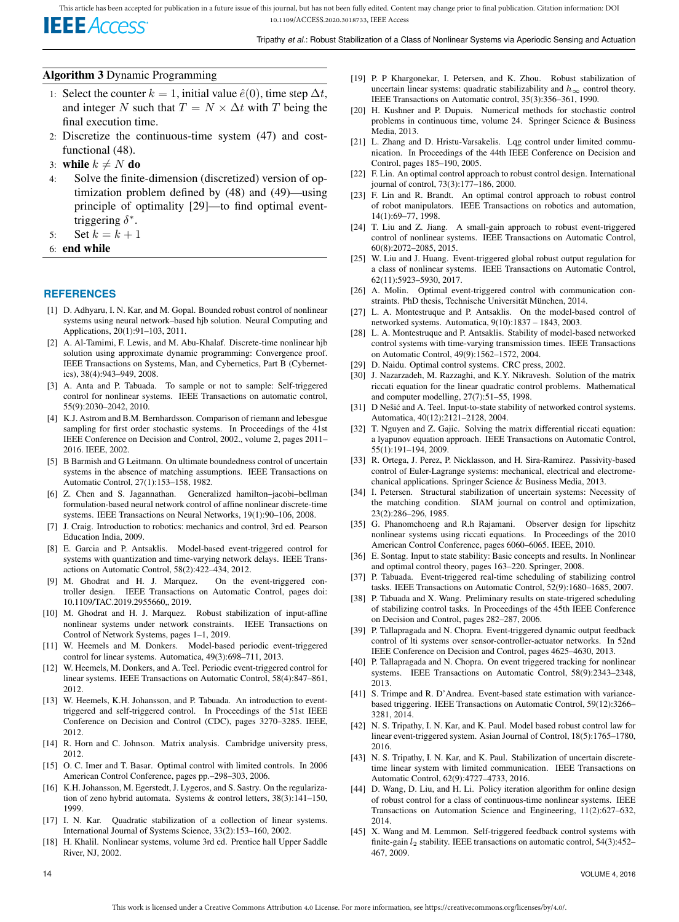

## Algorithm 3 Dynamic Programming

- 1: Select the counter  $k = 1$ , initial value  $\hat{e}(0)$ , time step  $\Delta t$ , and integer N such that  $T = N \times \Delta t$  with T being the final execution time.
- 2: Discretize the continuous-time system (47) and costfunctional (48).
- 3: while  $k \neq N$  do
- 4: Solve the finite-dimension (discretized) version of optimization problem defined by (48) and (49)—using principle of optimality [29]—to find optimal eventtriggering  $\delta^*$ .
- 5: Set  $k = k + 1$
- 6: end while

## **REFERENCES**

- [1] D. Adhyaru, I. N. Kar, and M. Gopal. Bounded robust control of nonlinear systems using neural network–based hjb solution. Neural Computing and Applications, 20(1):91–103, 2011.
- [2] A. Al-Tamimi, F. Lewis, and M. Abu-Khalaf. Discrete-time nonlinear hjb solution using approximate dynamic programming: Convergence proof. IEEE Transactions on Systems, Man, and Cybernetics, Part B (Cybernetics), 38(4):943–949, 2008.
- [3] A. Anta and P. Tabuada. To sample or not to sample: Self-triggered control for nonlinear systems. IEEE Transactions on automatic control, 55(9):2030–2042, 2010.
- [4] K.J. Astrom and B.M. Bernhardsson. Comparison of riemann and lebesgue sampling for first order stochastic systems. In Proceedings of the 41st IEEE Conference on Decision and Control, 2002., volume 2, pages 2011– 2016. IEEE, 2002.
- [5] B Barmish and G Leitmann. On ultimate boundedness control of uncertain systems in the absence of matching assumptions. IEEE Transactions on Automatic Control, 27(1):153–158, 1982.
- [6] Z. Chen and S. Jagannathan. Generalized hamilton–jacobi–bellman formulation-based neural network control of affine nonlinear discrete-time systems. IEEE Transactions on Neural Networks, 19(1):90–106, 2008.
- [7] J. Craig. Introduction to robotics: mechanics and control, 3rd ed. Pearson Education India, 2009.
- [8] E. Garcia and P. Antsaklis. Model-based event-triggered control for systems with quantization and time-varying network delays. IEEE Transactions on Automatic Control, 58(2):422–434, 2012.
- [9] M. Ghodrat and H. J. Marquez. On the event-triggered controller design. IEEE Transactions on Automatic Control, pages doi: 10.1109/TAC.2019.2955660,, 2019.
- [10] M. Ghodrat and H. J. Marquez. Robust stabilization of input-affine nonlinear systems under network constraints. IEEE Transactions on Control of Network Systems, pages 1–1, 2019.
- [11] W. Heemels and M. Donkers. Model-based periodic event-triggered control for linear systems. Automatica, 49(3):698–711, 2013.
- [12] W. Heemels, M. Donkers, and A. Teel. Periodic event-triggered control for linear systems. IEEE Transactions on Automatic Control, 58(4):847–861, 2012.
- [13] W. Heemels, K.H. Johansson, and P. Tabuada. An introduction to eventtriggered and self-triggered control. In Proceedings of the 51st IEEE Conference on Decision and Control (CDC), pages 3270–3285. IEEE, 2012.
- [14] R. Horn and C. Johnson. Matrix analysis. Cambridge university press, 2012.
- [15] O. C. Imer and T. Basar. Optimal control with limited controls. In 2006 American Control Conference, pages pp.–298–303, 2006.
- [16] K.H. Johansson, M. Egerstedt, J. Lygeros, and S. Sastry. On the regularization of zeno hybrid automata. Systems & control letters, 38(3):141–150, 1999.
- [17] I. N. Kar. Quadratic stabilization of a collection of linear systems. International Journal of Systems Science, 33(2):153–160, 2002.
- [18] H. Khalil. Nonlinear systems, volume 3rd ed. Prentice hall Upper Saddle River, NJ, 2002.
- [19] P. P Khargonekar, I. Petersen, and K. Zhou. Robust stabilization of uncertain linear systems: quadratic stabilizability and  $h_{\infty}$  control theory. IEEE Transactions on Automatic control, 35(3):356–361, 1990.
- [20] H. Kushner and P. Dupuis. Numerical methods for stochastic control problems in continuous time, volume 24. Springer Science & Business Media, 2013.
- [21] L. Zhang and D. Hristu-Varsakelis. Lqg control under limited communication. In Proceedings of the 44th IEEE Conference on Decision and Control, pages 185–190, 2005.
- [22] F. Lin. An optimal control approach to robust control design. International journal of control, 73(3):177–186, 2000.
- [23] F. Lin and R. Brandt. An optimal control approach to robust control of robot manipulators. IEEE Transactions on robotics and automation,  $14(1)$ :69-77, 1998.
- [24] T. Liu and Z. Jiang. A small-gain approach to robust event-triggered control of nonlinear systems. IEEE Transactions on Automatic Control, 60(8):2072–2085, 2015.
- [25] W. Liu and J. Huang. Event-triggered global robust output regulation for a class of nonlinear systems. IEEE Transactions on Automatic Control, 62(11):5923–5930, 2017.
- [26] A. Molin. Optimal event-triggered control with communication constraints. PhD thesis, Technische Universität München, 2014.
- [27] L. A. Montestruque and P. Antsaklis. On the model-based control of networked systems. Automatica, 9(10):1837 – 1843, 2003.
- [28] L. A. Montestruque and P. Antsaklis. Stability of model-based networked control systems with time-varying transmission times. IEEE Transactions on Automatic Control, 49(9):1562–1572, 2004.
- [29] D. Naidu. Optimal control systems. CRC press, 2002.
- [30] J. Nazarzadeh, M. Razzaghi, and K.Y. Nikravesh. Solution of the matrix riccati equation for the linear quadratic control problems. Mathematical and computer modelling, 27(7):51–55, 1998.
- [31] D Nešić and A. Teel. Input-to-state stability of networked control systems. Automatica, 40(12):2121–2128, 2004.
- [32] T. Nguyen and Z. Gajic. Solving the matrix differential riccati equation: a lyapunov equation approach. IEEE Transactions on Automatic Control, 55(1):191–194, 2009.
- [33] R. Ortega, J. Perez, P. Nicklasson, and H. Sira-Ramirez. Passivity-based control of Euler-Lagrange systems: mechanical, electrical and electromechanical applications. Springer Science & Business Media, 2013.
- [34] I. Petersen. Structural stabilization of uncertain systems: Necessity of the matching condition. SIAM journal on control and optimization, 23(2):286–296, 1985.
- [35] G. Phanomchoeng and R.h Rajamani. Observer design for lipschitz nonlinear systems using riccati equations. In Proceedings of the 2010 American Control Conference, pages 6060–6065. IEEE, 2010.
- [36] E. Sontag. Input to state stability: Basic concepts and results. In Nonlinear and optimal control theory, pages 163–220. Springer, 2008.
- [37] P. Tabuada. Event-triggered real-time scheduling of stabilizing control tasks. IEEE Transactions on Automatic Control, 52(9):1680–1685, 2007.
- [38] P. Tabuada and X. Wang. Preliminary results on state-trigered scheduling of stabilizing control tasks. In Proceedings of the 45th IEEE Conference on Decision and Control, pages 282–287, 2006.
- [39] P. Tallapragada and N. Chopra. Event-triggered dynamic output feedback control of lti systems over sensor-controller-actuator networks. In 52nd IEEE Conference on Decision and Control, pages 4625–4630, 2013.
- [40] P. Tallapragada and N. Chopra. On event triggered tracking for nonlinear systems. IEEE Transactions on Automatic Control, 58(9):2343–2348, 2013.
- [41] S. Trimpe and R. D'Andrea. Event-based state estimation with variancebased triggering. IEEE Transactions on Automatic Control, 59(12):3266– 3281, 2014.
- [42] N. S. Tripathy, I. N. Kar, and K. Paul. Model based robust control law for linear event-triggered system. Asian Journal of Control, 18(5):1765–1780, 2016.
- [43] N. S. Tripathy, I. N. Kar, and K. Paul. Stabilization of uncertain discretetime linear system with limited communication. IEEE Transactions on Automatic Control, 62(9):4727–4733, 2016.
- [44] D. Wang, D. Liu, and H. Li. Policy iteration algorithm for online design of robust control for a class of continuous-time nonlinear systems. IEEE Transactions on Automation Science and Engineering, 11(2):627–632, 2014.
- [45] X. Wang and M. Lemmon. Self-triggered feedback control systems with finite-gain  $l_2$  stability. IEEE transactions on automatic control, 54(3):452– 467, 2009.